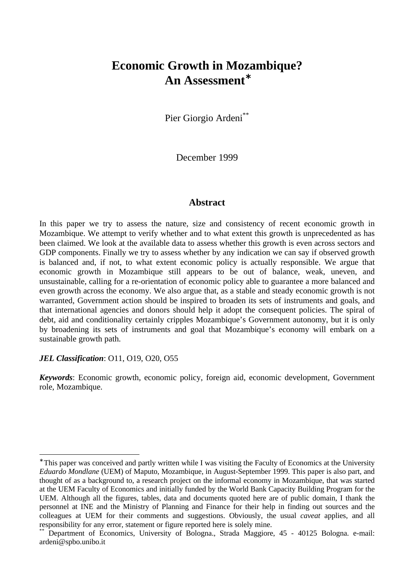# **Economic Growth in Mozambique? An Assessment**<sup>∗</sup>

Pier Giorgio Ardeni<sup>\*\*</sup>

December 1999

# **Abstract**

In this paper we try to assess the nature, size and consistency of recent economic growth in Mozambique. We attempt to verify whether and to what extent this growth is unprecedented as has been claimed. We look at the available data to assess whether this growth is even across sectors and GDP components. Finally we try to assess whether by any indication we can say if observed growth is balanced and, if not, to what extent economic policy is actually responsible. We argue that economic growth in Mozambique still appears to be out of balance, weak, uneven, and unsustainable, calling for a re-orientation of economic policy able to guarantee a more balanced and even growth across the economy. We also argue that, as a stable and steady economic growth is not warranted, Government action should be inspired to broaden its sets of instruments and goals, and that international agencies and donors should help it adopt the consequent policies. The spiral of debt, aid and conditionality certainly cripples Mozambique's Government autonomy, but it is only by broadening its sets of instruments and goal that Mozambique's economy will embark on a sustainable growth path.

#### *JEL Classification*: O11, O19, O20, O55

 $\overline{a}$ 

*Keywords*: Economic growth, economic policy, foreign aid, economic development, Government role, Mozambique.

<sup>∗</sup> This paper was conceived and partly written while I was visiting the Faculty of Economics at the University *Eduardo Mondlane* (UEM) of Maputo, Mozambique, in August-September 1999. This paper is also part, and thought of as a background to, a research project on the informal economy in Mozambique, that was started at the UEM Faculty of Economics and initially funded by the World Bank Capacity Building Program for the UEM. Although all the figures, tables, data and documents quoted here are of public domain, I thank the personnel at INE and the Ministry of Planning and Finance for their help in finding out sources and the colleagues at UEM for their comments and suggestions. Obviously, the usual *caveat* applies, and all responsibility for any error, statement or figure reported here is solely mine.

Department of Economics, University of Bologna., Strada Maggiore, 45 - 40125 Bologna. e-mail: ardeni@spbo.unibo.it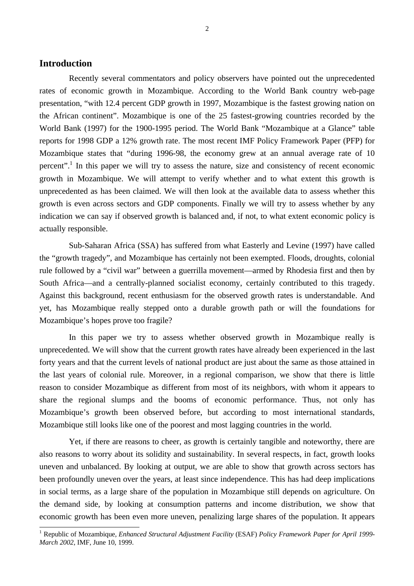### **Introduction**

Recently several commentators and policy observers have pointed out the unprecedented rates of economic growth in Mozambique. According to the World Bank country web-page presentation, "with 12.4 percent GDP growth in 1997, Mozambique is the fastest growing nation on the African continent". Mozambique is one of the 25 fastest-growing countries recorded by the World Bank (1997) for the 1900-1995 period. The World Bank "Mozambique at a Glance" table reports for 1998 GDP a 12% growth rate. The most recent IMF Policy Framework Paper (PFP) for Mozambique states that "during 1996-98, the economy grew at an annual average rate of 10 percent".<sup>1</sup> In this paper we will try to assess the nature, size and consistency of recent economic growth in Mozambique. We will attempt to verify whether and to what extent this growth is unprecedented as has been claimed. We will then look at the available data to assess whether this growth is even across sectors and GDP components. Finally we will try to assess whether by any indication we can say if observed growth is balanced and, if not, to what extent economic policy is actually responsible.

Sub-Saharan Africa (SSA) has suffered from what Easterly and Levine (1997) have called the "growth tragedy", and Mozambique has certainly not been exempted. Floods, droughts, colonial rule followed by a "civil war" between a guerrilla movement—armed by Rhodesia first and then by South Africa—and a centrally-planned socialist economy, certainly contributed to this tragedy. Against this background, recent enthusiasm for the observed growth rates is understandable. And yet, has Mozambique really stepped onto a durable growth path or will the foundations for Mozambique's hopes prove too fragile?

In this paper we try to assess whether observed growth in Mozambique really is unprecedented. We will show that the current growth rates have already been experienced in the last forty years and that the current levels of national product are just about the same as those attained in the last years of colonial rule. Moreover, in a regional comparison, we show that there is little reason to consider Mozambique as different from most of its neighbors, with whom it appears to share the regional slumps and the booms of economic performance. Thus, not only has Mozambique's growth been observed before, but according to most international standards, Mozambique still looks like one of the poorest and most lagging countries in the world.

Yet, if there are reasons to cheer, as growth is certainly tangible and noteworthy, there are also reasons to worry about its solidity and sustainability. In several respects, in fact, growth looks uneven and unbalanced. By looking at output, we are able to show that growth across sectors has been profoundly uneven over the years, at least since independence. This has had deep implications in social terms, as a large share of the population in Mozambique still depends on agriculture. On the demand side, by looking at consumption patterns and income distribution, we show that economic growth has been even more uneven, penalizing large shares of the population. It appears

 1 Republic of Mozambique, *Enhanced Structural Adjustment Facility* (ESAF) *Policy Framework Paper for April 1999- March 2002*, IMF, June 10, 1999.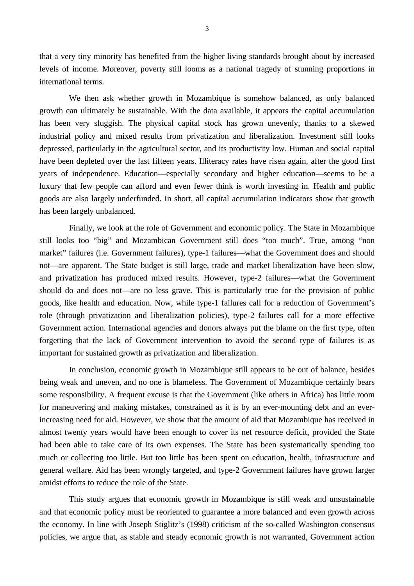that a very tiny minority has benefited from the higher living standards brought about by increased levels of income. Moreover, poverty still looms as a national tragedy of stunning proportions in international terms.

We then ask whether growth in Mozambique is somehow balanced, as only balanced growth can ultimately be sustainable. With the data available, it appears the capital accumulation has been very sluggish. The physical capital stock has grown unevenly, thanks to a skewed industrial policy and mixed results from privatization and liberalization. Investment still looks depressed, particularly in the agricultural sector, and its productivity low. Human and social capital have been depleted over the last fifteen years. Illiteracy rates have risen again, after the good first years of independence. Education—especially secondary and higher education—seems to be a luxury that few people can afford and even fewer think is worth investing in. Health and public goods are also largely underfunded. In short, all capital accumulation indicators show that growth has been largely unbalanced.

Finally, we look at the role of Government and economic policy. The State in Mozambique still looks too "big" and Mozambican Government still does "too much". True, among "non market" failures (i.e. Government failures), type-1 failures—what the Government does and should not—are apparent. The State budget is still large, trade and market liberalization have been slow, and privatization has produced mixed results. However, type-2 failures—what the Government should do and does not—are no less grave. This is particularly true for the provision of public goods, like health and education. Now, while type-1 failures call for a reduction of Government's role (through privatization and liberalization policies), type-2 failures call for a more effective Government action. International agencies and donors always put the blame on the first type, often forgetting that the lack of Government intervention to avoid the second type of failures is as important for sustained growth as privatization and liberalization.

In conclusion, economic growth in Mozambique still appears to be out of balance, besides being weak and uneven, and no one is blameless. The Government of Mozambique certainly bears some responsibility. A frequent excuse is that the Government (like others in Africa) has little room for maneuvering and making mistakes, constrained as it is by an ever-mounting debt and an everincreasing need for aid. However, we show that the amount of aid that Mozambique has received in almost twenty years would have been enough to cover its net resource deficit, provided the State had been able to take care of its own expenses. The State has been systematically spending too much or collecting too little. But too little has been spent on education, health, infrastructure and general welfare. Aid has been wrongly targeted, and type-2 Government failures have grown larger amidst efforts to reduce the role of the State.

This study argues that economic growth in Mozambique is still weak and unsustainable and that economic policy must be reoriented to guarantee a more balanced and even growth across the economy. In line with Joseph Stiglitz's (1998) criticism of the so-called Washington consensus policies, we argue that, as stable and steady economic growth is not warranted, Government action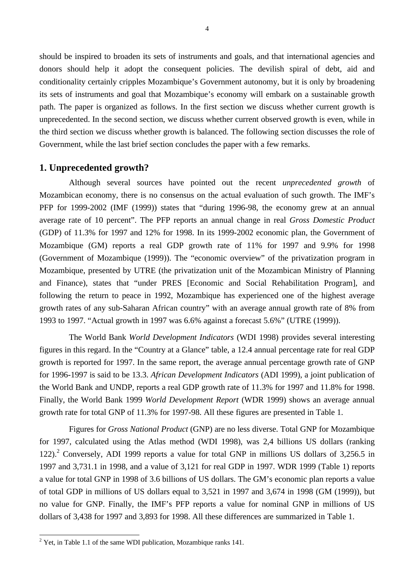should be inspired to broaden its sets of instruments and goals, and that international agencies and donors should help it adopt the consequent policies. The devilish spiral of debt, aid and conditionality certainly cripples Mozambique's Government autonomy, but it is only by broadening its sets of instruments and goal that Mozambique's economy will embark on a sustainable growth path. The paper is organized as follows. In the first section we discuss whether current growth is unprecedented. In the second section, we discuss whether current observed growth is even, while in the third section we discuss whether growth is balanced. The following section discusses the role of Government, while the last brief section concludes the paper with a few remarks.

## **1. Unprecedented growth?**

Although several sources have pointed out the recent *unprecedented growth* of Mozambican economy, there is no consensus on the actual evaluation of such growth. The IMF's PFP for 1999-2002 (IMF (1999)) states that "during 1996-98, the economy grew at an annual average rate of 10 percent". The PFP reports an annual change in real *Gross Domestic Product* (GDP) of 11.3% for 1997 and 12% for 1998. In its 1999-2002 economic plan, the Government of Mozambique (GM) reports a real GDP growth rate of 11% for 1997 and 9.9% for 1998 (Government of Mozambique (1999)). The "economic overview" of the privatization program in Mozambique, presented by UTRE (the privatization unit of the Mozambican Ministry of Planning and Finance), states that "under PRES [Economic and Social Rehabilitation Program], and following the return to peace in 1992, Mozambique has experienced one of the highest average growth rates of any sub-Saharan African country" with an average annual growth rate of 8% from 1993 to 1997. "Actual growth in 1997 was 6.6% against a forecast 5.6%" (UTRE (1999)).

The World Bank *World Development Indicators* (WDI 1998) provides several interesting figures in this regard. In the "Country at a Glance" table, a 12.4 annual percentage rate for real GDP growth is reported for 1997. In the same report, the average annual percentage growth rate of GNP for 1996-1997 is said to be 13.3. *African Development Indicators* (ADI 1999), a joint publication of the World Bank and UNDP, reports a real GDP growth rate of 11.3% for 1997 and 11.8% for 1998. Finally, the World Bank 1999 *World Development Report* (WDR 1999) shows an average annual growth rate for total GNP of 11.3% for 1997-98. All these figures are presented in Table 1.

Figures for *Gross National Product* (GNP) are no less diverse. Total GNP for Mozambique for 1997, calculated using the Atlas method (WDI 1998), was 2,4 billions US dollars (ranking 122).<sup>2</sup> Conversely, ADI 1999 reports a value for total GNP in millions US dollars of 3,256.5 in 1997 and 3,731.1 in 1998, and a value of 3,121 for real GDP in 1997. WDR 1999 (Table 1) reports a value for total GNP in 1998 of 3.6 billions of US dollars. The GM's economic plan reports a value of total GDP in millions of US dollars equal to 3,521 in 1997 and 3,674 in 1998 (GM (1999)), but no value for GNP. Finally, the IMF's PFP reports a value for nominal GNP in millions of US dollars of 3,438 for 1997 and 3,893 for 1998. All these differences are summarized in Table 1.

<sup>&</sup>lt;sup>2</sup> Yet, in Table 1.1 of the same WDI publication, Mozambique ranks 141.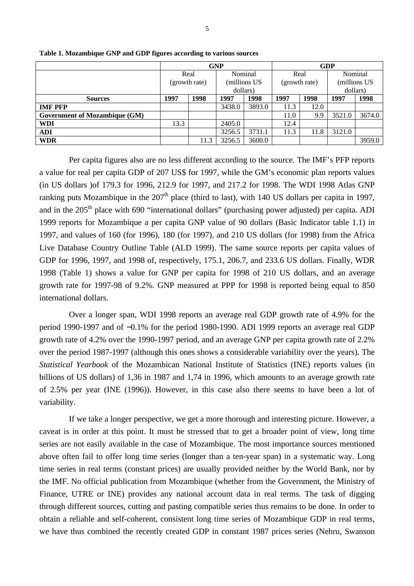|                                      |               |      | <b>GNP</b>   |        | <b>GDP</b>    |      |              |        |  |
|--------------------------------------|---------------|------|--------------|--------|---------------|------|--------------|--------|--|
|                                      | Real          |      | Nominal      |        | Real          |      | Nominal      |        |  |
|                                      | (growth rate) |      | (millions US |        | (growth rate) |      | (millions US |        |  |
|                                      |               |      | dollars)     |        |               |      | dollars)     |        |  |
| <b>Sources</b>                       | 1997          | 1998 | 1997         | 1998   | 1997          | 1998 | 1997         | 1998   |  |
| <b>IMF PFP</b>                       |               |      | 3438.0       | 3893.0 | 11.3          | 12.0 |              |        |  |
| <b>Government of Mozambique (GM)</b> |               |      |              |        | 11.0          | 9.9  | 3521.0       | 3674.0 |  |
| WDI                                  | 13.3          |      | 2405.0       |        | 12.4          |      |              |        |  |
| ADI                                  |               |      | 3256.5       | 3731.1 | 11.3          | 11.8 | 3121.0       |        |  |
| WDR                                  |               | 11.3 | 3256.5       | 3600.0 |               |      |              | 3959.0 |  |
|                                      |               |      |              |        |               |      |              |        |  |

**Table 1. Mozambique GNP and GDP figures according to various sources**

Per capita figures also are no less different according to the source. The IMF's PFP reports a value for real per capita GDP of 207 US\$ for 1997, while the GM's economic plan reports values (in US dollars )of 179.3 for 1996, 212.9 for 1997, and 217.2 for 1998. The WDI 1998 Atlas GNP ranking puts Mozambique in the  $207<sup>th</sup>$  place (third to last), with 140 US dollars per capita in 1997, and in the  $205<sup>th</sup>$  place with 690 "international dollars" (purchasing power adjusted) per capita. ADI 1999 reports for Mozambique a per capita GNP value of 90 dollars (Basic Indicator table 1.1) in 1997, and values of 160 (for 1996), 180 (for 1997), and 210 US dollars (for 1998) from the Africa Live Database Country Outline Table (ALD 1999). The same source reports per capita values of GDP for 1996, 1997, and 1998 of, respectively, 175.1, 206.7, and 233.6 US dollars. Finally, WDR 1998 (Table 1) shows a value for GNP per capita for 1998 of 210 US dollars, and an average growth rate for 1997-98 of 9.2%. GNP measured at PPP for 1998 is reported being equal to 850 international dollars.

Over a longer span, WDI 1998 reports an average real GDP growth rate of 4.9% for the period 1990-1997 and of −0.1% for the period 1980-1990. ADI 1999 reports an average real GDP growth rate of 4.2% over the 1990-1997 period, and an average GNP per capita growth rate of 2.2% over the period 1987-1997 (although this ones shows a considerable variability over the years). The *Statistical Yearbook* of the Mozambican National Institute of Statistics (INE) reports values (in billions of US dollars) of 1,36 in 1987 and 1,74 in 1996, which amounts to an average growth rate of 2.5% per year (INE (1996)). However, in this case also there seems to have been a lot of variability.

If we take a longer perspective, we get a more thorough and interesting picture. However, a caveat is in order at this point. It must be stressed that to get a broader point of view, long time series are not easily available in the case of Mozambique. The most importance sources mentioned above often fail to offer long time series (longer than a ten-year span) in a systematic way. Long time series in real terms (constant prices) are usually provided neither by the World Bank, nor by the IMF. No official publication from Mozambique (whether from the Government, the Ministry of Finance, UTRE or INE) provides any national account data in real terms. The task of digging through different sources, cutting and pasting compatible series thus remains to be done. In order to obtain a reliable and self-coherent, consistent long time series of Mozambique GDP in real terms, we have thus combined the recently created GDP in constant 1987 prices series (Nehru, Swanson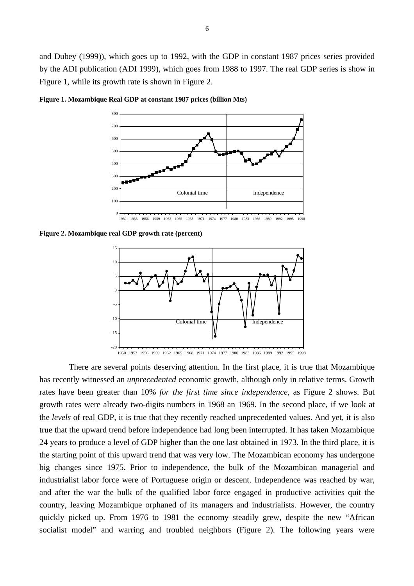

**Figure 1. Mozambique Real GDP at constant 1987 prices (billion Mts)**

**Figure 2. Mozambique real GDP growth rate (percent)**



There are several points deserving attention. In the first place, it is true that Mozambique has recently witnessed an *unprecedented* economic growth, although only in relative terms. Growth rates have been greater than 10% *for the first time since independence*, as Figure 2 shows. But growth rates were already two-digits numbers in 1968 an 1969. In the second place, if we look at the *levels* of real GDP, it is true that they recently reached unprecedented values. And yet, it is also true that the upward trend before independence had long been interrupted. It has taken Mozambique 24 years to produce a level of GDP higher than the one last obtained in 1973. In the third place, it is the starting point of this upward trend that was very low. The Mozambican economy has undergone big changes since 1975. Prior to independence, the bulk of the Mozambican managerial and industrialist labor force were of Portuguese origin or descent. Independence was reached by war, and after the war the bulk of the qualified labor force engaged in productive activities quit the country, leaving Mozambique orphaned of its managers and industrialists. However, the country quickly picked up. From 1976 to 1981 the economy steadily grew, despite the new "African socialist model" and warring and troubled neighbors (Figure 2). The following years were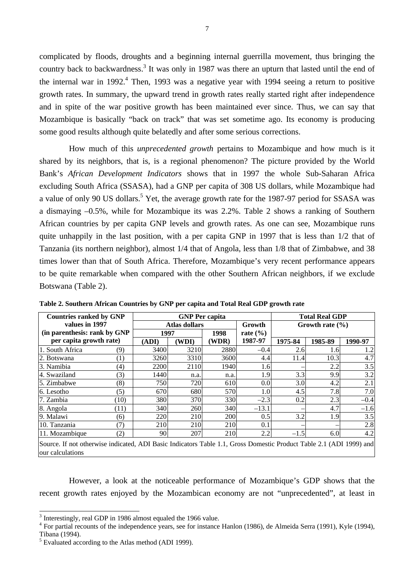complicated by floods, droughts and a beginning internal guerrilla movement, thus bringing the country back to backwardness.<sup>3</sup> It was only in 1987 was there an upturn that lasted until the end of the internal war in 1992.<sup>4</sup> Then, 1993 was a negative year with 1994 seeing a return to positive growth rates. In summary, the upward trend in growth rates really started right after independence and in spite of the war positive growth has been maintained ever since. Thus, we can say that Mozambique is basically "back on track" that was set sometime ago. Its economy is producing some good results although quite belatedly and after some serious corrections.

How much of this *unprecedented growth* pertains to Mozambique and how much is it shared by its neighbors, that is, is a regional phenomenon? The picture provided by the World Bank's *African Development Indicators* shows that in 1997 the whole Sub-Saharan Africa excluding South Africa (SSASA), had a GNP per capita of 308 US dollars, while Mozambique had a value of only 90 US dollars.<sup>5</sup> Yet, the average growth rate for the 1987-97 period for SSASA was a dismaying –0.5%, while for Mozambique its was 2.2%. Table 2 shows a ranking of Southern African countries by per capita GNP levels and growth rates. As one can see, Mozambique runs quite unhappily in the last position, with a per capita GNP in 1997 that is less than 1/2 that of Tanzania (its northern neighbor), almost 1/4 that of Angola, less than 1/8 that of Zimbabwe, and 38 times lower than that of South Africa. Therefore, Mozambique's very recent performance appears to be quite remarkable when compared with the other Southern African neighbors, if we exclude Botswana (Table 2).

| <b>Countries ranked by GNP</b>                                                                                                          |      |       | <b>GNP Per capita</b> |       |              | <b>Total Real GDP</b> |                     |         |  |
|-----------------------------------------------------------------------------------------------------------------------------------------|------|-------|-----------------------|-------|--------------|-----------------------|---------------------|---------|--|
| values in 1997                                                                                                                          |      |       | <b>Atlas dollars</b>  |       | Growth       |                       | Growth rate $(\% )$ |         |  |
| (in parenthesis: rank by GNP)                                                                                                           |      | 1997  |                       | 1998  | rate $(\% )$ |                       |                     |         |  |
| per capita growth rate)                                                                                                                 |      | (ADI) | (WDI)                 | (WDR) | 1987-97      | 1975-84               | 1985-89             | 1990-97 |  |
| 1. South Africa                                                                                                                         | (9)  | 3400  | 3210                  | 2880  | $-0.4$       | 2.6                   | 1.6                 | 1.2     |  |
| 2. Botswana                                                                                                                             | (1)  | 3260  | 3310                  | 3600  | 4.4          | 11.4                  | 10.3                | 4.7     |  |
| 3. Namibia                                                                                                                              | (4)  | 2200  | 2110                  | 1940  | 1.6          |                       | 2.2                 | 3.5     |  |
| 4. Swaziland                                                                                                                            | (3)  | 1440  | n.a.                  | n.a.  | 1.9          | 3.3                   | 9.9                 | 3.2     |  |
| 5. Zimbabwe                                                                                                                             | (8)  | 750   | 720                   | 610   | 0.0          | 3.0                   | 4.2                 | 2.1     |  |
| 6. Lesotho                                                                                                                              | (5)  | 670   | 680                   | 570   | 1.0          | 4.5                   | 7.8                 | 7.0     |  |
| 7. Zambia                                                                                                                               | (10) | 380   | 370                   | 330   | $-2.3$       | 0.2                   | 2.3                 | $-0.4$  |  |
| 8. Angola                                                                                                                               | (11) | 340   | 260                   | 340   | $-13.1$      |                       | 4.7                 | $-1.6$  |  |
| 9. Malawi                                                                                                                               | (6)  | 220   | 210                   | 200   | 0.5          | 3.2                   | 1.9                 | 3.5     |  |
| 10. Tanzania                                                                                                                            | (7)  | 210   | 210                   | 210   | 0.1          |                       |                     | 2.8     |  |
| 11. Mozambique                                                                                                                          | (2)  | 90    | 207                   | 210   | 2.2          | $-1.5$                | 6.0                 | 4.2     |  |
| Source. If not otherwise indicated, ADI Basic Indicators Table 1.1, Gross Domestic Product Table 2.1 (ADI 1999) and<br>our calculations |      |       |                       |       |              |                       |                     |         |  |

**Table 2. Southern African Countries by GNP per capita and Total Real GDP growth rate**

However, a look at the noticeable performance of Mozambique's GDP shows that the recent growth rates enjoyed by the Mozambican economy are not "unprecedented", at least in

<sup>&</sup>lt;sup>3</sup> Interestingly, real GDP in 1986 almost equaled the 1966 value.

<sup>&</sup>lt;sup>4</sup> For partial recounts of the independence years, see for instance Hanlon (1986), de Almeida Serra (1991), Kyle (1994), Tibana (1994).

<sup>&</sup>lt;sup>5</sup> Evaluated according to the Atlas method (ADI 1999).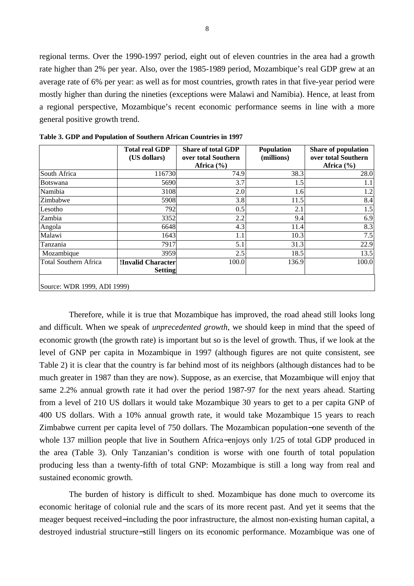regional terms. Over the 1990-1997 period, eight out of eleven countries in the area had a growth rate higher than 2% per year. Also, over the 1985-1989 period, Mozambique's real GDP grew at an average rate of 6% per year: as well as for most countries, growth rates in that five-year period were mostly higher than during the nineties (exceptions were Malawi and Namibia). Hence, at least from a regional perspective, Mozambique's recent economic performance seems in line with a more general positive growth trend.

|                              | <b>Total real GDP</b><br>(US dollars) | <b>Share of total GDP</b><br>over total Southern | <b>Population</b><br>(millions) | <b>Share of population</b><br>over total Southern |
|------------------------------|---------------------------------------|--------------------------------------------------|---------------------------------|---------------------------------------------------|
|                              |                                       | Africa $(\% )$                                   |                                 | Africa $(\% )$                                    |
| South Africa                 | 116730                                | 74.9                                             | 38.3                            | 28.0                                              |
| <b>Botswana</b>              | 5690                                  | 3.7                                              | 1.5                             | 1.1                                               |
| Namibia                      | 3108                                  | 2.0                                              | 1.6                             | 1.2                                               |
| Zimbabwe                     | 5908                                  | 3.8                                              | 11.5                            | 8.4                                               |
| Lesotho                      | 792                                   | 0.5                                              | 2.1                             | 1.5                                               |
| Zambia                       | 3352                                  | 2.2                                              | 9.4                             | 6.9                                               |
| Angola                       | 6648                                  | 4.3                                              | 11.4                            | 8.3                                               |
| Malawi                       | 1643                                  | 1.1                                              | 10.3                            | 7.5                                               |
| Tanzania                     | 7917                                  | 5.1                                              | 31.3                            | 22.9                                              |
| Mozambique                   | 3959                                  | 2.5                                              | 18.5                            | 13.5                                              |
| <b>Total Southern Africa</b> | !Invalid Character                    | 100.0                                            | 136.9                           | 100.0                                             |
|                              | <b>Setting</b>                        |                                                  |                                 |                                                   |
| Source: WDR 1999, ADI 1999)  |                                       |                                                  |                                 |                                                   |

**Table 3. GDP and Population of Southern African Countries in 1997**

Therefore, while it is true that Mozambique has improved, the road ahead still looks long and difficult. When we speak of *unprecedented growth*, we should keep in mind that the speed of economic growth (the growth rate) is important but so is the level of growth. Thus, if we look at the level of GNP per capita in Mozambique in 1997 (although figures are not quite consistent, see Table 2) it is clear that the country is far behind most of its neighbors (although distances had to be much greater in 1987 than they are now). Suppose, as an exercise, that Mozambique will enjoy that same 2.2% annual growth rate it had over the period 1987-97 for the next years ahead. Starting from a level of 210 US dollars it would take Mozambique 30 years to get to a per capita GNP of 400 US dollars. With a 10% annual growth rate, it would take Mozambique 15 years to reach Zimbabwe current per capita level of 750 dollars. The Mozambican population−one seventh of the whole 137 million people that live in Southern Africa−enjoys only 1/25 of total GDP produced in the area (Table 3). Only Tanzanian's condition is worse with one fourth of total population producing less than a twenty-fifth of total GNP: Mozambique is still a long way from real and sustained economic growth.

The burden of history is difficult to shed. Mozambique has done much to overcome its economic heritage of colonial rule and the scars of its more recent past. And yet it seems that the meager bequest received−including the poor infrastructure, the almost non-existing human capital, a destroyed industrial structure−still lingers on its economic performance. Mozambique was one of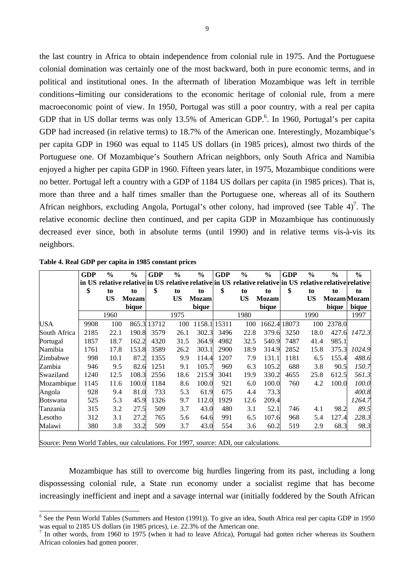the last country in Africa to obtain independence from colonial rule in 1975. And the Portuguese colonial domination was certainly one of the most backward, both in pure economic terms, and in political and institutional ones. In the aftermath of liberation Mozambique was left in terrible conditions−limiting our considerations to the economic heritage of colonial rule, from a mere macroeconomic point of view. In 1950, Portugal was still a poor country, with a real per capita GDP that in US dollar terms was only 13.5% of American GDP.<sup>6</sup>. In 1960, Portugal's per capita GDP had increased (in relative terms) to 18.7% of the American one. Interestingly, Mozambique's per capita GDP in 1960 was equal to 1145 US dollars (in 1985 prices), almost two thirds of the Portuguese one. Of Mozambique's Southern African neighbors, only South Africa and Namibia enjoyed a higher per capita GDP in 1960. Fifteen years later, in 1975, Mozambique conditions were no better. Portugal left a country with a GDP of 1184 US dollars per capita (in 1985 prices). That is, more than three and a half times smaller than the Portuguese one, whereas all of its Southern African neighbors, excluding Angola, Portugal's other colony, had improved (see Table 4)<sup>7</sup>. The relative economic decline then continued, and per capita GDP in Mozambique has continuously decreased ever since, both in absolute terms (until 1990) and in relative terms vis-à-vis its neighbors.

|                                                                                       | <b>GDP</b> | $\frac{6}{9}$ | $\frac{0}{0}$                                                                                            | <b>GDP</b>  | $\frac{0}{0}$ | $\frac{0}{0}$ | <b>GDP</b>   | $\frac{0}{0}$ | $\frac{6}{6}$ | <b>GDP</b> | $\frac{6}{9}$ | $\frac{0}{0}$ | $\frac{6}{9}$      |
|---------------------------------------------------------------------------------------|------------|---------------|----------------------------------------------------------------------------------------------------------|-------------|---------------|---------------|--------------|---------------|---------------|------------|---------------|---------------|--------------------|
|                                                                                       |            |               | in US relative relative in US relative relative in US relative relative in US relative relative relative |             |               |               |              |               |               |            |               |               |                    |
|                                                                                       | \$         | to            | to                                                                                                       | \$          | to            | to            | \$           | to            | to            | \$         | to            | to            | to                 |
|                                                                                       |            | <b>US</b>     | <b>Mozam</b>                                                                                             |             | US            | <b>Mozam</b>  |              | <b>US</b>     | <b>Mozam</b>  |            | US            |               | <b>Mozam</b> Mozam |
|                                                                                       |            |               | bique                                                                                                    |             |               | bique         |              |               | bique         |            |               | bique         | bique              |
|                                                                                       |            | 1960          |                                                                                                          |             | 1975          |               |              | 1980          |               |            | 1990          |               | 1997               |
| USA                                                                                   | 9908       | 100           |                                                                                                          | 865.3 13712 | 100           |               | 1158.1 15311 | 100           | 1662.4        | 18073      | 100           | 2378.0        |                    |
| South Africa                                                                          | 2185       | 22.1          | 190.8                                                                                                    | 3579        | 26.1          | 302.3         | 3496         | 22.8          | 379.6         | 3250       | 18.0          | 427.6         | 1472.3             |
| Portugal                                                                              | 1857       | 18.7          | 162.2                                                                                                    | 4320        | 31.5          | 364.9         | 4982         | 32.5          | 540.9         | 7487       | 41.4          | 985.1         |                    |
| Namibia                                                                               | 1761       | 17.8          | 153.8                                                                                                    | 3589        | 26.2          | 303.1         | <b>2900</b>  | 18.9          | 314.9         | 2852       | 15.8          | 375.3         | 1024.9             |
| Zimbabwe                                                                              | 998        | 10.1          | 87.2                                                                                                     | 1355        | 9.9           | 114.4         | 1207         | 7.9           | 131.1         | 1181       | 6.5           | 155.4         | 488.6              |
| Zambia                                                                                | 946        | 9.5           | 82.6                                                                                                     | 1251        | 9.1           | 105.7         | 969          | 6.3           | 105.2         | 688        | 3.8           | 90.5          | 150.7              |
| Swaziland                                                                             | 1240       | 12.5          | 108.3                                                                                                    | 2556        | 18.6          | 215.9         | 3041         | 19.9          | 330.2         | 4655       | 25.8          | 612.5         | 561.3              |
| Mozambique                                                                            | 1145       | 11.6          | 100.0                                                                                                    | 1184        | 8.6           | 100.0         | 921          | 6.0           | 100.0         | 760        | 4.2           | 100.0         | 100.0              |
| Angola                                                                                | 928        | 9.4           | 81.0                                                                                                     | 733         | 5.3           | 61.9          | 675          | 4.4           | 73.3          |            |               |               | 400.8              |
| <b>Botswana</b>                                                                       | 525        | 5.3           | 45.9                                                                                                     | 1326        | 9.7           | 112.0         | 1929         | 12.6          | 209.4         |            |               |               | 1264.7             |
| Tanzania                                                                              | 315        | 3.2           | 27.5                                                                                                     | 509         | 3.7           | 43.0          | 480          | 3.1           | 52.1          | 746        | 4.1           | 98.2          | 89.5               |
| Lesotho                                                                               | 312        | 3.1           | 27.2                                                                                                     | 765         | 5.6           | 64.6          | 991          | 6.5           | 107.6         | 968        | 5.4           | 127.4         | 228.3              |
| Malawi                                                                                | 380        | 3.8           | 33.2                                                                                                     | 509         | 3.7           | 43.0          | 554          | 3.6           | 60.2          | 519        | 2.9           | 68.3          | 98.3               |
| Source: Penn World Tables, our calculations. For 1997, source: ADI, our calculations. |            |               |                                                                                                          |             |               |               |              |               |               |            |               |               |                    |

| Table 4. Real GDP per capita in 1985 constant prices |  |  |  |  |
|------------------------------------------------------|--|--|--|--|
|------------------------------------------------------|--|--|--|--|

 $\overline{a}$ 

Mozambique has still to overcome big hurdles lingering from its past, including a long dispossessing colonial rule, a State run economy under a socialist regime that has become increasingly inefficient and inept and a savage internal war (initially foddered by the South African

<sup>&</sup>lt;sup>6</sup> See the Penn World Tables (Summers and Heston (1991)). To give an idea, South Africa real per capita GDP in 1950 was equal to 2185 US dollars (in 1985 prices), i.e. 22.3% of the American one.

<sup>7</sup> In other words, from 1960 to 1975 (when it had to leave Africa), Portugal had gotten richer whereas its Southern African colonies had gotten poorer.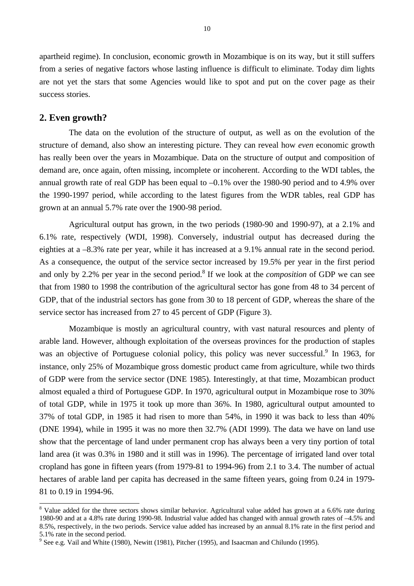apartheid regime). In conclusion, economic growth in Mozambique is on its way, but it still suffers from a series of negative factors whose lasting influence is difficult to eliminate. Today dim lights are not yet the stars that some Agencies would like to spot and put on the cover page as their success stories.

## **2. Even growth?**

The data on the evolution of the structure of output, as well as on the evolution of the structure of demand, also show an interesting picture. They can reveal how *even* economic growth has really been over the years in Mozambique. Data on the structure of output and composition of demand are, once again, often missing, incomplete or incoherent. According to the WDI tables, the annual growth rate of real GDP has been equal to –0.1% over the 1980-90 period and to 4.9% over the 1990-1997 period, while according to the latest figures from the WDR tables, real GDP has grown at an annual 5.7% rate over the 1900-98 period.

Agricultural output has grown, in the two periods (1980-90 and 1990-97), at a 2.1% and 6.1% rate, respectively (WDI, 1998). Conversely, industrial output has decreased during the eighties at a –8.3% rate per year, while it has increased at a 9.1% annual rate in the second period. As a consequence, the output of the service sector increased by 19.5% per year in the first period and only by 2.2% per year in the second period.<sup>8</sup> If we look at the *composition* of GDP we can see that from 1980 to 1998 the contribution of the agricultural sector has gone from 48 to 34 percent of GDP, that of the industrial sectors has gone from 30 to 18 percent of GDP, whereas the share of the service sector has increased from 27 to 45 percent of GDP (Figure 3).

Mozambique is mostly an agricultural country, with vast natural resources and plenty of arable land. However, although exploitation of the overseas provinces for the production of staples was an objective of Portuguese colonial policy, this policy was never successful.<sup>9</sup> In 1963, for instance, only 25% of Mozambique gross domestic product came from agriculture, while two thirds of GDP were from the service sector (DNE 1985). Interestingly, at that time, Mozambican product almost equaled a third of Portuguese GDP. In 1970, agricultural output in Mozambique rose to 30% of total GDP, while in 1975 it took up more than 36%. In 1980, agricultural output amounted to 37% of total GDP, in 1985 it had risen to more than 54%, in 1990 it was back to less than 40% (DNE 1994), while in 1995 it was no more then 32.7% (ADI 1999). The data we have on land use show that the percentage of land under permanent crop has always been a very tiny portion of total land area (it was 0.3% in 1980 and it still was in 1996). The percentage of irrigated land over total cropland has gone in fifteen years (from 1979-81 to 1994-96) from 2.1 to 3.4. The number of actual hectares of arable land per capita has decreased in the same fifteen years, going from 0.24 in 1979- 81 to 0.19 in 1994-96.

<sup>&</sup>lt;sup>8</sup> Value added for the three sectors shows similar behavior. Agricultural value added has grown at a 6.6% rate during 1980-90 and at a 4.8% rate during 1990-98. Industrial value added has changed with annual growth rates of –4.5% and 8.5%, respectively, in the two periods. Service value added has increased by an annual 8.1% rate in the first period and 5.1% rate in the second period.

<sup>&</sup>lt;sup>9</sup> See e.g. Vail and White (1980), Newitt (1981), Pitcher (1995), and Isaacman and Chilundo (1995).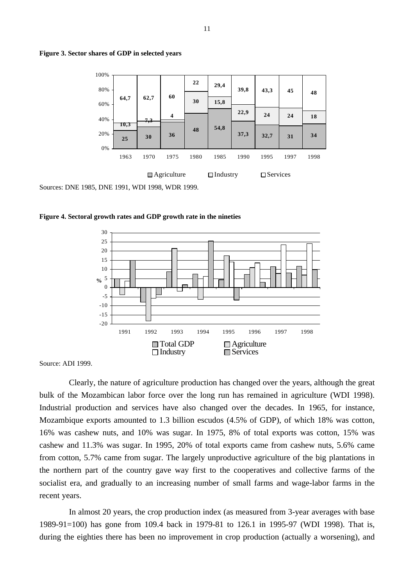



**Figure 4. Sectoral growth rates and GDP growth rate in the nineties**



Source: ADI 1999.

Clearly, the nature of agriculture production has changed over the years, although the great bulk of the Mozambican labor force over the long run has remained in agriculture (WDI 1998). Industrial production and services have also changed over the decades. In 1965, for instance, Mozambique exports amounted to 1.3 billion escudos (4.5% of GDP), of which 18% was cotton, 16% was cashew nuts, and 10% was sugar. In 1975, 8% of total exports was cotton, 15% was cashew and 11.3% was sugar. In 1995, 20% of total exports came from cashew nuts, 5.6% came from cotton, 5.7% came from sugar. The largely unproductive agriculture of the big plantations in the northern part of the country gave way first to the cooperatives and collective farms of the socialist era, and gradually to an increasing number of small farms and wage-labor farms in the recent years.

In almost 20 years, the crop production index (as measured from 3-year averages with base 1989-91=100) has gone from 109.4 back in 1979-81 to 126.1 in 1995-97 (WDI 1998). That is, during the eighties there has been no improvement in crop production (actually a worsening), and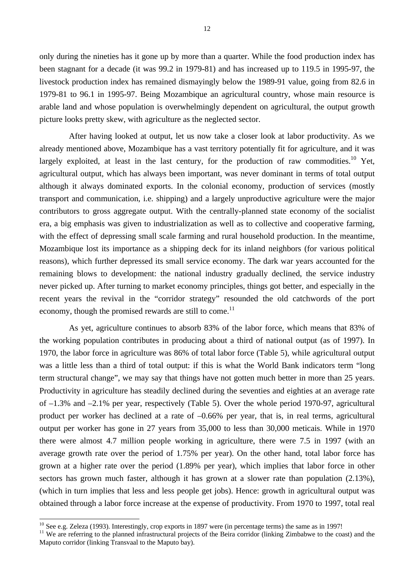only during the nineties has it gone up by more than a quarter. While the food production index has been stagnant for a decade (it was 99.2 in 1979-81) and has increased up to 119.5 in 1995-97, the livestock production index has remained dismayingly below the 1989-91 value, going from 82.6 in 1979-81 to 96.1 in 1995-97. Being Mozambique an agricultural country, whose main resource is arable land and whose population is overwhelmingly dependent on agricultural, the output growth picture looks pretty skew, with agriculture as the neglected sector.

After having looked at output, let us now take a closer look at labor productivity. As we already mentioned above, Mozambique has a vast territory potentially fit for agriculture, and it was largely exploited, at least in the last century, for the production of raw commodities.<sup>10</sup> Yet, agricultural output, which has always been important, was never dominant in terms of total output although it always dominated exports. In the colonial economy, production of services (mostly transport and communication, i.e. shipping) and a largely unproductive agriculture were the major contributors to gross aggregate output. With the centrally-planned state economy of the socialist era, a big emphasis was given to industrialization as well as to collective and cooperative farming, with the effect of depressing small scale farming and rural household production. In the meantime, Mozambique lost its importance as a shipping deck for its inland neighbors (for various political reasons), which further depressed its small service economy. The dark war years accounted for the remaining blows to development: the national industry gradually declined, the service industry never picked up. After turning to market economy principles, things got better, and especially in the recent years the revival in the "corridor strategy" resounded the old catchwords of the port economy, though the promised rewards are still to come.<sup>11</sup>

As yet, agriculture continues to absorb 83% of the labor force, which means that 83% of the working population contributes in producing about a third of national output (as of 1997). In 1970, the labor force in agriculture was 86% of total labor force (Table 5), while agricultural output was a little less than a third of total output: if this is what the World Bank indicators term "long term structural change", we may say that things have not gotten much better in more than 25 years. Productivity in agriculture has steadily declined during the seventies and eighties at an average rate of –1.3% and –2.1% per year, respectively (Table 5). Over the whole period 1970-97, agricultural product per worker has declined at a rate of  $-0.66\%$  per year, that is, in real terms, agricultural output per worker has gone in 27 years from 35,000 to less than 30,000 meticais. While in 1970 there were almost 4.7 million people working in agriculture, there were 7.5 in 1997 (with an average growth rate over the period of 1.75% per year). On the other hand, total labor force has grown at a higher rate over the period (1.89% per year), which implies that labor force in other sectors has grown much faster, although it has grown at a slower rate than population (2.13%), (which in turn implies that less and less people get jobs). Hence: growth in agricultural output was obtained through a labor force increase at the expense of productivity. From 1970 to 1997, total real

 $10$  See e.g. Zeleza (1993). Interestingly, crop exports in 1897 were (in percentage terms) the same as in 1997!

<sup>&</sup>lt;sup>11</sup> We are referring to the planned infrastructural projects of the Beira corridor (linking Zimbabwe to the coast) and the Maputo corridor (linking Transvaal to the Maputo bay).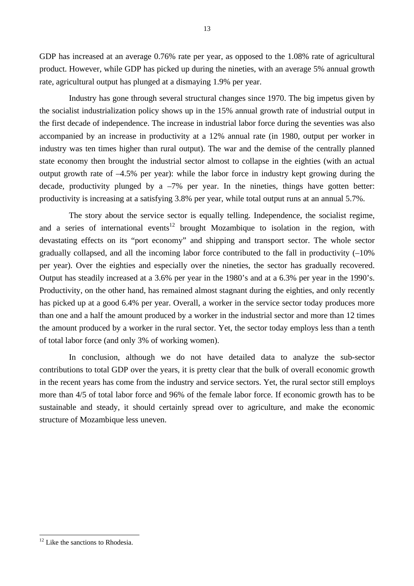GDP has increased at an average 0.76% rate per year, as opposed to the 1.08% rate of agricultural product. However, while GDP has picked up during the nineties, with an average 5% annual growth rate, agricultural output has plunged at a dismaying 1.9% per year.

Industry has gone through several structural changes since 1970. The big impetus given by the socialist industrialization policy shows up in the 15% annual growth rate of industrial output in the first decade of independence. The increase in industrial labor force during the seventies was also accompanied by an increase in productivity at a 12% annual rate (in 1980, output per worker in industry was ten times higher than rural output). The war and the demise of the centrally planned state economy then brought the industrial sector almost to collapse in the eighties (with an actual output growth rate of –4.5% per year): while the labor force in industry kept growing during the decade, productivity plunged by a  $-7\%$  per year. In the nineties, things have gotten better: productivity is increasing at a satisfying 3.8% per year, while total output runs at an annual 5.7%.

The story about the service sector is equally telling. Independence, the socialist regime, and a series of international events<sup>12</sup> brought Mozambique to isolation in the region, with devastating effects on its "port economy" and shipping and transport sector. The whole sector gradually collapsed, and all the incoming labor force contributed to the fall in productivity (–10% per year). Over the eighties and especially over the nineties, the sector has gradually recovered. Output has steadily increased at a 3.6% per year in the 1980's and at a 6.3% per year in the 1990's. Productivity, on the other hand, has remained almost stagnant during the eighties, and only recently has picked up at a good 6.4% per year. Overall, a worker in the service sector today produces more than one and a half the amount produced by a worker in the industrial sector and more than 12 times the amount produced by a worker in the rural sector. Yet, the sector today employs less than a tenth of total labor force (and only 3% of working women).

In conclusion, although we do not have detailed data to analyze the sub-sector contributions to total GDP over the years, it is pretty clear that the bulk of overall economic growth in the recent years has come from the industry and service sectors. Yet, the rural sector still employs more than 4/5 of total labor force and 96% of the female labor force. If economic growth has to be sustainable and steady, it should certainly spread over to agriculture, and make the economic structure of Mozambique less uneven.

 $\overline{a}$  $12$  Like the sanctions to Rhodesia.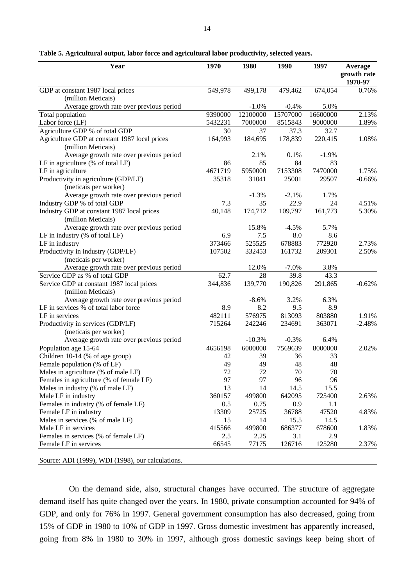| Year                                          | 1970    | 1980     | 1990     | 1997     | Average                |
|-----------------------------------------------|---------|----------|----------|----------|------------------------|
|                                               |         |          |          |          | growth rate<br>1970-97 |
| GDP at constant 1987 local prices             | 549,978 | 499,178  | 479,462  | 674,054  | 0.76%                  |
| (million Meticais)                            |         |          |          |          |                        |
| Average growth rate over previous period      |         | $-1.0%$  | $-0.4%$  | 5.0%     |                        |
| Total population                              | 9390000 | 12100000 | 15707000 | 16600000 | 2.13%                  |
| Labor force (LF)                              | 5432231 | 7000000  | 8515843  | 9000000  | 1.89%                  |
| Agriculture GDP % of total GDP                | 30      | 37       | 37.3     | 32.7     |                        |
| Agriculture GDP at constant 1987 local prices | 164,993 | 184,695  | 178,839  | 220,415  | 1.08%                  |
| (million Meticais)                            |         |          |          |          |                        |
| Average growth rate over previous period      |         | 2.1%     | 0.1%     | $-1.9\%$ |                        |
| LF in agriculture (% of total LF)             | 86      | 85       | 84       | 83       |                        |
| LF in agriculture                             | 4671719 | 5950000  | 7153308  | 7470000  | 1.75%                  |
| Productivity in agriculture (GDP/LF)          | 35318   | 31041    | 25001    | 29507    | $-0.66%$               |
| (meticais per worker)                         |         |          |          |          |                        |
| Average growth rate over previous period      |         | $-1.3%$  | $-2.1%$  | 1.7%     |                        |
| Industry GDP % of total GDP                   | 7.3     | 35       | 22.9     | 24       | 4.51%                  |
| Industry GDP at constant 1987 local prices    | 40,148  | 174,712  | 109,797  | 161,773  | 5.30%                  |
| (million Meticais)                            |         |          |          |          |                        |
| Average growth rate over previous period      |         | 15.8%    | $-4.5%$  | 5.7%     |                        |
| LF in industry (% of total LF)                | 6.9     | 7.5      | 8.0      | 8.6      |                        |
| LF in industry                                | 373466  | 525525   | 678883   | 772920   | 2.73%                  |
| Productivity in industry (GDP/LF)             | 107502  | 332453   | 161732   | 209301   | 2.50%                  |
| (meticais per worker)                         |         |          |          |          |                        |
| Average growth rate over previous period      |         | 12.0%    | $-7.0\%$ | 3.8%     |                        |
| Service GDP as % of total GDP                 | 62.7    | 28       | 39.8     | 43.3     |                        |
| Service GDP at constant 1987 local prices     | 344,836 | 139,770  | 190,826  | 291,865  | $-0.62%$               |
| (million Meticais)                            |         |          |          |          |                        |
| Average growth rate over previous period      |         | $-8.6%$  | 3.2%     | 6.3%     |                        |
| LF in services % of total labor force         | 8.9     | 8.2      | 9.5      | 8.9      |                        |
| LF in services                                | 482111  | 576975   | 813093   | 803880   | 1.91%                  |
| Productivity in services (GDP/LF)             | 715264  | 242246   | 234691   | 363071   | $-2.48%$               |
| (meticais per worker)                         |         |          |          |          |                        |
| Average growth rate over previous period      |         | $-10.3%$ | $-0.3%$  | 6.4%     |                        |
| Population age 15-64                          | 4656198 | 6000000  | 7569639  | 8000000  | 2.02%                  |
| Children 10-14 (% of age group)               | 42      | 39       | 36       | 33       |                        |
| Female population (% of LF)                   | 49      | 49       | 48       | 48       |                        |
| Males in agriculture (% of male LF)           | 72      | 72       | 70       | 70       |                        |
| Females in agriculture (% of female LF)       | 97      | 97       | 96       | 96       |                        |
| Males in industry (% of male LF)              | 13      | 14       | 14.5     | 15.5     |                        |
| Male LF in industry                           | 360157  | 499800   | 642095   | 725400   | 2.63%                  |
| Females in industry (% of female LF)          | 0.5     | 0.75     | 0.9      | 1.1      |                        |
| Female LF in industry                         | 13309   | 25725    | 36788    | 47520    | 4.83%                  |
| Males in services (% of male LF)              | 15      | 14       | 15.5     | 14.5     |                        |
| Male LF in services                           | 415566  | 499800   | 686377   | 678600   | 1.83%                  |
| Females in services (% of female LF)          | 2.5     | 2.25     | 3.1      | 2.9      |                        |
| Female LF in services                         | 66545   | 77175    | 126716   | 125280   | 2.37%                  |

**Table 5. Agricultural output, labor force and agricultural labor productivity, selected years.**

Source: ADI (1999), WDI (1998), our calculations.

On the demand side, also, structural changes have occurred. The structure of aggregate demand itself has quite changed over the years. In 1980, private consumption accounted for 94% of GDP, and only for 76% in 1997. General government consumption has also decreased, going from 15% of GDP in 1980 to 10% of GDP in 1997. Gross domestic investment has apparently increased, going from 8% in 1980 to 30% in 1997, although gross domestic savings keep being short of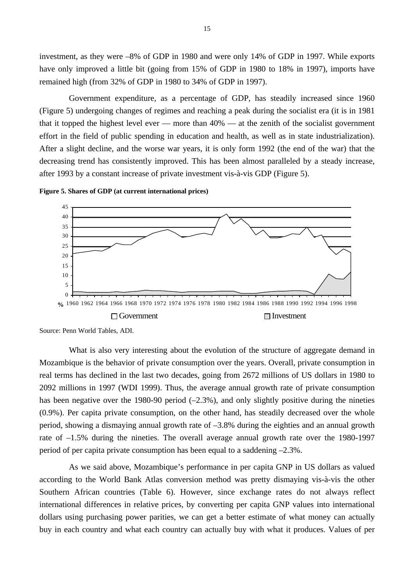investment, as they were –8% of GDP in 1980 and were only 14% of GDP in 1997. While exports have only improved a little bit (going from 15% of GDP in 1980 to 18% in 1997), imports have remained high (from 32% of GDP in 1980 to 34% of GDP in 1997).

Government expenditure, as a percentage of GDP, has steadily increased since 1960 (Figure 5) undergoing changes of regimes and reaching a peak during the socialist era (it is in 1981 that it topped the highest level ever — more than  $40\%$  — at the zenith of the socialist government effort in the field of public spending in education and health, as well as in state industrialization). After a slight decline, and the worse war years, it is only form 1992 (the end of the war) that the decreasing trend has consistently improved. This has been almost paralleled by a steady increase, after 1993 by a constant increase of private investment vis-à-vis GDP (Figure 5).





Source: Penn World Tables, ADI.

What is also very interesting about the evolution of the structure of aggregate demand in Mozambique is the behavior of private consumption over the years. Overall, private consumption in real terms has declined in the last two decades, going from 2672 millions of US dollars in 1980 to 2092 millions in 1997 (WDI 1999). Thus, the average annual growth rate of private consumption has been negative over the 1980-90 period  $(-2.3\%)$ , and only slightly positive during the nineties (0.9%). Per capita private consumption, on the other hand, has steadily decreased over the whole period, showing a dismaying annual growth rate of –3.8% during the eighties and an annual growth rate of –1.5% during the nineties. The overall average annual growth rate over the 1980-1997 period of per capita private consumption has been equal to a saddening –2.3%.

As we said above, Mozambique's performance in per capita GNP in US dollars as valued according to the World Bank Atlas conversion method was pretty dismaying vis-à-vis the other Southern African countries (Table 6). However, since exchange rates do not always reflect international differences in relative prices, by converting per capita GNP values into international dollars using purchasing power parities, we can get a better estimate of what money can actually buy in each country and what each country can actually buy with what it produces. Values of per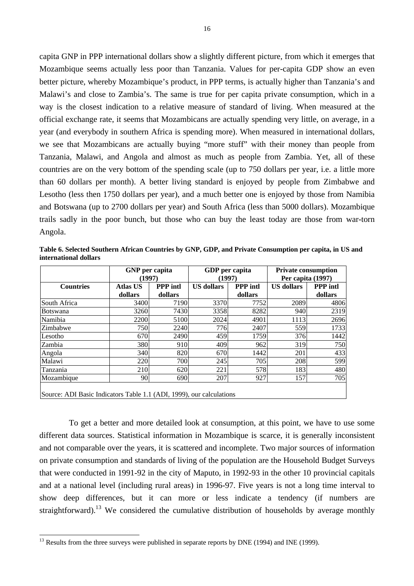capita GNP in PPP international dollars show a slightly different picture, from which it emerges that Mozambique seems actually less poor than Tanzania. Values for per-capita GDP show an even better picture, whereby Mozambique's product, in PPP terms, is actually higher than Tanzania's and Malawi's and close to Zambia's. The same is true for per capita private consumption, which in a way is the closest indication to a relative measure of standard of living. When measured at the official exchange rate, it seems that Mozambicans are actually spending very little, on average, in a year (and everybody in southern Africa is spending more). When measured in international dollars, we see that Mozambicans are actually buying "more stuff" with their money than people from Tanzania, Malawi, and Angola and almost as much as people from Zambia. Yet, all of these countries are on the very bottom of the spending scale (up to 750 dollars per year, i.e. a little more than 60 dollars per month). A better living standard is enjoyed by people from Zimbabwe and Lesotho (less then 1750 dollars per year), and a much better one is enjoyed by those from Namibia and Botswana (up to 2700 dollars per year) and South Africa (less than 5000 dollars). Mozambique trails sadly in the poor bunch, but those who can buy the least today are those from war-torn Angola.

**Table 6. Selected Southern African Countries by GNP, GDP, and Private Consumption per capita, in US and international dollars**

|                  | <b>GNP</b> per capita<br>(1997) |                            | GDP per capita<br>(1997) |                            | <b>Private consumption</b><br>Per capita (1997) |                            |  |
|------------------|---------------------------------|----------------------------|--------------------------|----------------------------|-------------------------------------------------|----------------------------|--|
| <b>Countries</b> | <b>Atlas US</b><br>dollars      | <b>PPP</b> intl<br>dollars | <b>US</b> dollars        | <b>PPP</b> intl<br>dollars | <b>US</b> dollars                               | <b>PPP</b> intl<br>dollars |  |
| South Africa     | 3400                            | 7190                       | 3370                     | 7752                       | 2089                                            | 4806                       |  |
| <b>Botswana</b>  | 3260                            | 7430                       | 3358                     | 8282                       | 940                                             | 2319                       |  |
| Namibia          | 2200                            | 5100                       | 2024                     | 4901                       | 1113                                            | 2696                       |  |
| Zimbabwe         | 750                             | 2240                       | 776                      | 2407                       | 559                                             | 1733                       |  |
| Lesotho          | 670                             | 2490                       | 459                      | 1759                       | 376                                             | 1442                       |  |
| Zambia           | 380                             | 910                        | 409                      | 962                        | 319                                             | 750                        |  |
| Angola           | 340                             | 820                        | 670                      | 1442                       | 201                                             | 433                        |  |
| Malawi           | 220                             | 700                        | 245                      | 705                        | 208                                             | 599                        |  |
| Tanzania         | 210                             | 620                        | 221                      | 578                        | 183                                             | 480                        |  |
| Mozambique       | 90                              | 690                        | 207                      | 927                        | 157                                             | 705                        |  |
|                  |                                 |                            |                          |                            |                                                 |                            |  |

Source: ADI Basic Indicators Table 1.1 (ADI, 1999), our calculations

 $\overline{a}$ 

To get a better and more detailed look at consumption, at this point, we have to use some different data sources. Statistical information in Mozambique is scarce, it is generally inconsistent and not comparable over the years, it is scattered and incomplete. Two major sources of information on private consumption and standards of living of the population are the Household Budget Surveys that were conducted in 1991-92 in the city of Maputo, in 1992-93 in the other 10 provincial capitals and at a national level (including rural areas) in 1996-97. Five years is not a long time interval to show deep differences, but it can more or less indicate a tendency (if numbers are straightforward).<sup>13</sup> We considered the cumulative distribution of households by average monthly

 $^{13}$  Results from the three surveys were published in separate reports by DNE (1994) and INE (1999).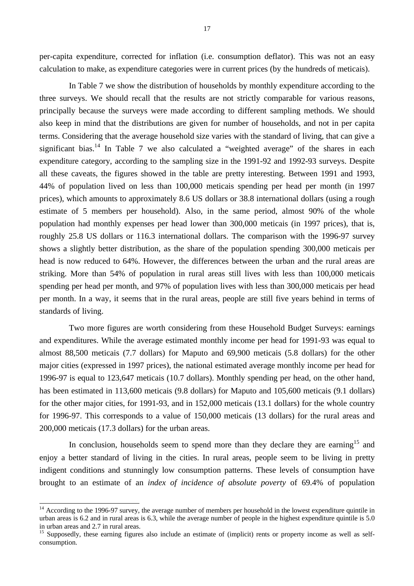per-capita expenditure, corrected for inflation (i.e. consumption deflator). This was not an easy calculation to make, as expenditure categories were in current prices (by the hundreds of meticais).

In Table 7 we show the distribution of households by monthly expenditure according to the three surveys. We should recall that the results are not strictly comparable for various reasons, principally because the surveys were made according to different sampling methods. We should also keep in mind that the distributions are given for number of households, and not in per capita terms. Considering that the average household size varies with the standard of living, that can give a significant bias.<sup>14</sup> In Table 7 we also calculated a "weighted average" of the shares in each expenditure category, according to the sampling size in the 1991-92 and 1992-93 surveys. Despite all these caveats, the figures showed in the table are pretty interesting. Between 1991 and 1993, 44% of population lived on less than 100,000 meticais spending per head per month (in 1997 prices), which amounts to approximately 8.6 US dollars or 38.8 international dollars (using a rough estimate of 5 members per household). Also, in the same period, almost 90% of the whole population had monthly expenses per head lower than 300,000 meticais (in 1997 prices), that is, roughly 25.8 US dollars or 116.3 international dollars. The comparison with the 1996-97 survey shows a slightly better distribution, as the share of the population spending 300,000 meticais per head is now reduced to 64%. However, the differences between the urban and the rural areas are striking. More than 54% of population in rural areas still lives with less than 100,000 meticais spending per head per month, and 97% of population lives with less than 300,000 meticais per head per month. In a way, it seems that in the rural areas, people are still five years behind in terms of standards of living.

Two more figures are worth considering from these Household Budget Surveys: earnings and expenditures. While the average estimated monthly income per head for 1991-93 was equal to almost 88,500 meticais (7.7 dollars) for Maputo and 69,900 meticais (5.8 dollars) for the other major cities (expressed in 1997 prices), the national estimated average monthly income per head for 1996-97 is equal to 123,647 meticais (10.7 dollars). Monthly spending per head, on the other hand, has been estimated in 113,600 meticais (9.8 dollars) for Maputo and 105,600 meticais (9.1 dollars) for the other major cities, for 1991-93, and in 152,000 meticais (13.1 dollars) for the whole country for 1996-97. This corresponds to a value of 150,000 meticais (13 dollars) for the rural areas and 200,000 meticais (17.3 dollars) for the urban areas.

In conclusion, households seem to spend more than they declare they are earning<sup>15</sup> and enjoy a better standard of living in the cities. In rural areas, people seem to be living in pretty indigent conditions and stunningly low consumption patterns. These levels of consumption have brought to an estimate of an *index of incidence of absolute poverty* of 69.4% of population

<sup>&</sup>lt;sup>14</sup> According to the 1996-97 survey, the average number of members per household in the lowest expenditure quintile in urban areas is 6.2 and in rural areas is 6.3, while the average number of people in the highest expenditure quintile is 5.0 in urban areas and 2.7 in rural areas.

<sup>&</sup>lt;sup>15</sup> Supposedly, these earning figures also include an estimate of (implicit) rents or property income as well as selfconsumption.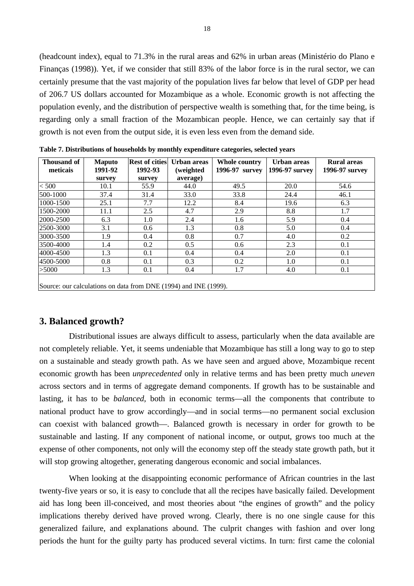(headcount index), equal to 71.3% in the rural areas and 62% in urban areas (Ministério do Plano e Finanças (1998)). Yet, if we consider that still 83% of the labor force is in the rural sector, we can certainly presume that the vast majority of the population lives far below that level of GDP per head of 206.7 US dollars accounted for Mozambique as a whole. Economic growth is not affecting the population evenly, and the distribution of perspective wealth is something that, for the time being, is regarding only a small fraction of the Mozambican people. Hence, we can certainly say that if growth is not even from the output side, it is even less even from the demand side.

| Thousand of<br>meticais | <b>Maputo</b><br>1991-92 | <b>Rest of cities</b><br>1992-93 | Urban areas<br>(weighted | Whole country<br>1996-97 survey | Urban areas<br>1996-97 survey | <b>Rural areas</b><br>1996-97 survey |
|-------------------------|--------------------------|----------------------------------|--------------------------|---------------------------------|-------------------------------|--------------------------------------|
|                         | survey                   | survey                           | average)                 |                                 |                               |                                      |
| < 500                   | 10.1                     | 55.9                             | 44.0                     | 49.5                            | 20.0                          | 54.6                                 |
| 500-1000                | 37.4                     | 31.4                             | 33.0                     | 33.8                            | 24.4                          | 46.1                                 |
| 1000-1500               | 25.1                     | 7.7                              | 12.2                     | 8.4                             | 19.6                          | 6.3                                  |
| 1500-2000               | 11.1                     | 2.5                              | 4.7                      | 2.9                             | 8.8                           | 1.7                                  |
| 2000-2500               | 6.3                      | 1.0                              | 2.4                      | 1.6                             | 5.9                           | 0.4                                  |
| 2500-3000               | 3.1                      | 0.6                              | 1.3                      | 0.8                             | 5.0                           | 0.4                                  |
| 3000-3500               | 1.9                      | 0.4                              | 0.8                      | 0.7                             | 4.0                           | 0.2                                  |
| 3500-4000               | 1.4                      | 0.2                              | 0.5                      | 0.6                             | 2.3                           | 0.1                                  |
| 4000-4500               | 1.3                      | 0.1                              | 0.4                      | 0.4                             | 2.0                           | 0.1                                  |
| 4500-5000               | 0.8                      | 0.1                              | 0.3                      | 0.2                             | 1.0                           | 0.1                                  |
| >5000                   | 1.3                      | 0.1                              | 0.4                      | 1.7                             | 4.0                           | 0.1                                  |

**Table 7. Distributions of households by monthly expenditure categories, selected years**

Source: our calculations on data from DNE (1994) and INE (1999).

#### **3. Balanced growth?**

Distributional issues are always difficult to assess, particularly when the data available are not completely reliable. Yet, it seems undeniable that Mozambique has still a long way to go to step on a sustainable and steady growth path. As we have seen and argued above, Mozambique recent economic growth has been *unprecedented* only in relative terms and has been pretty much *uneven* across sectors and in terms of aggregate demand components. If growth has to be sustainable and lasting, it has to be *balanced*, both in economic terms—all the components that contribute to national product have to grow accordingly—and in social terms—no permanent social exclusion can coexist with balanced growth—. Balanced growth is necessary in order for growth to be sustainable and lasting. If any component of national income, or output, grows too much at the expense of other components, not only will the economy step off the steady state growth path, but it will stop growing altogether, generating dangerous economic and social imbalances.

When looking at the disappointing economic performance of African countries in the last twenty-five years or so, it is easy to conclude that all the recipes have basically failed. Development aid has long been ill-conceived, and most theories about "the engines of growth" and the policy implications thereby derived have proved wrong. Clearly, there is no one single cause for this generalized failure, and explanations abound. The culprit changes with fashion and over long periods the hunt for the guilty party has produced several victims. In turn: first came the colonial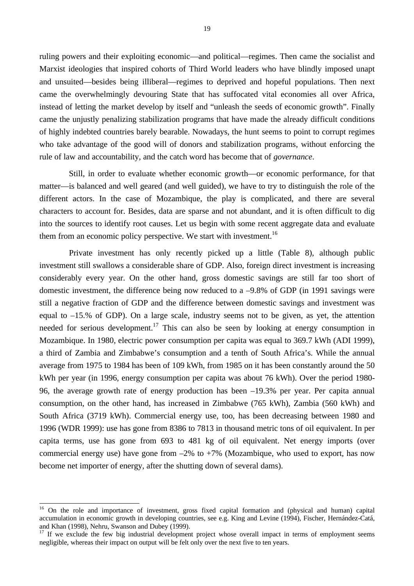ruling powers and their exploiting economic—and political—regimes. Then came the socialist and Marxist ideologies that inspired cohorts of Third World leaders who have blindly imposed unapt and unsuited—besides being illiberal—regimes to deprived and hopeful populations. Then next came the overwhelmingly devouring State that has suffocated vital economies all over Africa, instead of letting the market develop by itself and "unleash the seeds of economic growth". Finally came the unjustly penalizing stabilization programs that have made the already difficult conditions of highly indebted countries barely bearable. Nowadays, the hunt seems to point to corrupt regimes who take advantage of the good will of donors and stabilization programs, without enforcing the rule of law and accountability, and the catch word has become that of *governance*.

Still, in order to evaluate whether economic growth—or economic performance, for that matter—is balanced and well geared (and well guided), we have to try to distinguish the role of the different actors. In the case of Mozambique, the play is complicated, and there are several characters to account for. Besides, data are sparse and not abundant, and it is often difficult to dig into the sources to identify root causes. Let us begin with some recent aggregate data and evaluate them from an economic policy perspective. We start with investment.<sup>16</sup>

Private investment has only recently picked up a little (Table 8), although public investment still swallows a considerable share of GDP. Also, foreign direct investment is increasing considerably every year. On the other hand, gross domestic savings are still far too short of domestic investment, the difference being now reduced to a –9.8% of GDP (in 1991 savings were still a negative fraction of GDP and the difference between domestic savings and investment was equal to –15.% of GDP). On a large scale, industry seems not to be given, as yet, the attention needed for serious development.<sup>17</sup> This can also be seen by looking at energy consumption in Mozambique. In 1980, electric power consumption per capita was equal to 369.7 kWh (ADI 1999), a third of Zambia and Zimbabwe's consumption and a tenth of South Africa's. While the annual average from 1975 to 1984 has been of 109 kWh, from 1985 on it has been constantly around the 50 kWh per year (in 1996, energy consumption per capita was about 76 kWh). Over the period 1980- 96, the average growth rate of energy production has been –19.3% per year. Per capita annual consumption, on the other hand, has increased in Zimbabwe (765 kWh), Zambia (560 kWh) and South Africa (3719 kWh). Commercial energy use, too, has been decreasing between 1980 and 1996 (WDR 1999): use has gone from 8386 to 7813 in thousand metric tons of oil equivalent. In per capita terms, use has gone from 693 to 481 kg of oil equivalent. Net energy imports (over commercial energy use) have gone from  $-2\%$  to  $+7\%$  (Mozambique, who used to export, has now become net importer of energy, after the shutting down of several dams).

<sup>&</sup>lt;sup>16</sup> On the role and importance of investment, gross fixed capital formation and (physical and human) capital accumulation in economic growth in developing countries, see e.g. King and Levine (1994), Fischer, Hernández-Catá, and Khan (1998), Nehru, Swanson and Dubey (1999).

<sup>&</sup>lt;sup>17</sup> If we exclude the few big industrial development project whose overall impact in terms of employment seems negligible, whereas their impact on output will be felt only over the next five to ten years.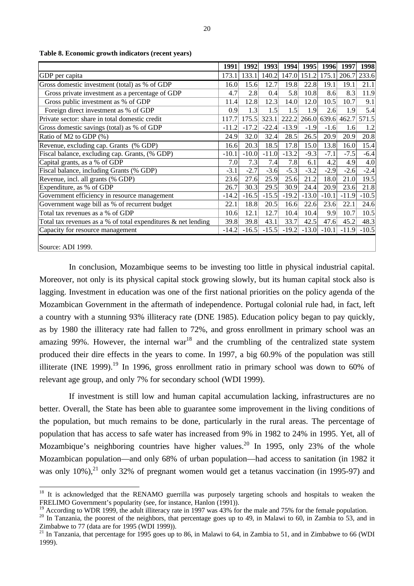|                                                                  | 1991    | 1992    |         | 1993 1994 1995 1996                 |         |         |         | 1997 1998 |
|------------------------------------------------------------------|---------|---------|---------|-------------------------------------|---------|---------|---------|-----------|
| GDP per capita                                                   | 173.1   | 133.1   |         | 140.2 147.0 151.2 175.1 206.7 233.6 |         |         |         |           |
| Gross domestic investment (total) as % of GDP                    | 16.0    | 15.6    | 12.7    | 19.8                                | 22.8    | 19.1    | 19.1    | 21.1      |
| Gross private investment as a percentage of GDP                  | 4.7     | 2.8     | 0.4     | 5.8                                 | 10.8    | 8.6     | 8.3     | 11.9      |
| Gross public investment as % of GDP                              | 11.4    | 12.8    | 12.3    | 14.0                                | 12.0    | 10.5    | 10.7    | 9.1       |
| Foreign direct investment as % of GDP                            | 0.9     | 1.3     | 1.5     | 1.5                                 | 1.9     | 2.6     | 1.9     | 5.4       |
| Private sector: share in total domestic credit                   | 117.7   | 175.5   | 323.1   | 222.2                               | 266.0   | 639.6   | 462.7   | 571.5     |
| Gross domestic savings (total) as % of GDP                       | $-11.2$ | $-17.2$ | $-22.4$ | $-13.9$                             | $-1.9$  | $-1.6$  | 1.6     | 1.2       |
| Ratio of M2 to GDP (%)                                           | 24.9    | 32.0    | 32.4    | 28.5                                | 26.5    | 20.9    | 20.9    | 20.8      |
| Revenue, excluding cap. Grants (% GDP)                           | 16.6    | 20.3    | 18.5    | 17.8                                | 15.0    | 13.8    | 16.0    | 15.4      |
| Fiscal balance, excluding cap. Grants, (% GDP)                   | $-10.1$ | $-10.0$ | $-11.0$ | $-13.2$                             | $-9.3$  | $-7.1$  | $-7.5$  | $-6.4$    |
| Capital grants, as a % of GDP                                    | 7.0     | 7.3     | 7.4     | 7.8                                 | 6.1     | 4.2     | 4.9     | 4.0       |
| Fiscal balance, including Grants (% GDP)                         | $-3.1$  | $-2.7$  | $-3.6$  | $-5.3$                              | $-3.2$  | $-2.9$  | $-2.6$  | $-2.4$    |
| Revenue, incl. all grants (% GDP)                                | 23.6    | 27.6    | 25.9    | 25.6                                | 21.2    | 18.0    | 21.0    | 19.5      |
| Expenditure, as % of GDP                                         | 26.7    | 30.3    | 29.5    | 30.9                                | 24.4    | 20.9    | 23.6    | 21.8      |
| Government efficiency in resource management                     | $-14.2$ | $-16.5$ | $-15.5$ | $-19.2$                             | $-13.0$ | $-10.1$ | $-11.9$ | $-10.5$   |
| Government wage bill as % of recurrent budget                    | 22.1    | 18.8    | 20.5    | 16.6                                | 22.6    | 23.6    | 22.1    | 24.6      |
| Total tax revenues as a % of GDP                                 | 10.6    | 12.1    | 12.7    | 10.4                                | 10.4    | 9.9     | 10.7    | 10.5      |
| Total tax revenues as a % of total expenditures $\&$ net lending | 39.8    | 39.8    | 43.1    | 33.7                                | 42.5    | 47.6    | 45.2    | 48.3      |
| Capacity for resource management                                 | $-14.2$ | $-16.5$ | $-15.5$ | $-19.2$                             | $-13.0$ | $-10.1$ | $-11.9$ | $-10.5$   |
| $\sim$<br>1.737.1000                                             |         |         |         |                                     |         |         |         |           |

**Table 8. Economic growth indicators (recent years)**

Source: ADI 1999.

 $\overline{a}$ 

In conclusion, Mozambique seems to be investing too little in physical industrial capital. Moreover, not only is its physical capital stock growing slowly, but its human capital stock also is lagging. Investment in education was one of the first national priorities on the policy agenda of the Mozambican Government in the aftermath of independence. Portugal colonial rule had, in fact, left a country with a stunning 93% illiteracy rate (DNE 1985). Education policy began to pay quickly, as by 1980 the illiteracy rate had fallen to 72%, and gross enrollment in primary school was an amazing 99%. However, the internal war<sup>18</sup> and the crumbling of the centralized state system produced their dire effects in the years to come. In 1997, a big 60.9% of the population was still illiterate (INE 1999).<sup>19</sup> In 1996, gross enrollment ratio in primary school was down to 60% of relevant age group, and only 7% for secondary school (WDI 1999).

If investment is still low and human capital accumulation lacking, infrastructures are no better. Overall, the State has been able to guarantee some improvement in the living conditions of the population, but much remains to be done, particularly in the rural areas. The percentage of population that has access to safe water has increased from 9% in 1982 to 24% in 1995. Yet, all of Mozambique's neighboring countries have higher values.<sup>20</sup> In 1995, only 23% of the whole Mozambican population—and only 68% of urban population—had access to sanitation (in 1982 it was only  $10\%$ ),<sup>21</sup> only 32% of pregnant women would get a tetanus vaccination (in 1995-97) and

<sup>&</sup>lt;sup>18</sup> It is acknowledged that the RENAMO guerrilla was purposely targeting schools and hospitals to weaken the FRELIMO Government's popularity (see, for instance, Hanlon (1991)).

<sup>&</sup>lt;sup>19</sup> According to WDR 1999, the adult illiteracy rate in 1997 was 43% for the male and 75% for the female population.

 $20$  In Tanzania, the poorest of the neighbors, that percentage goes up to 49, in Malawi to 60, in Zambia to 53, and in Zimbabwe to 77 (data are for 1995 (WDI 1999)).

 $21$  In Tanzania, that percentage for 1995 goes up to 86, in Malawi to 64, in Zambia to 51, and in Zimbabwe to 66 (WDI 1999).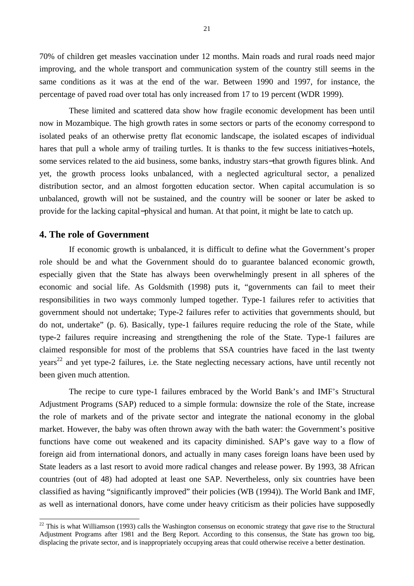70% of children get measles vaccination under 12 months. Main roads and rural roads need major improving, and the whole transport and communication system of the country still seems in the same conditions as it was at the end of the war. Between 1990 and 1997, for instance, the percentage of paved road over total has only increased from 17 to 19 percent (WDR 1999).

These limited and scattered data show how fragile economic development has been until now in Mozambique. The high growth rates in some sectors or parts of the economy correspond to isolated peaks of an otherwise pretty flat economic landscape, the isolated escapes of individual hares that pull a whole army of trailing turtles. It is thanks to the few success initiatives−hotels, some services related to the aid business, some banks, industry stars−that growth figures blink. And yet, the growth process looks unbalanced, with a neglected agricultural sector, a penalized distribution sector, and an almost forgotten education sector. When capital accumulation is so unbalanced, growth will not be sustained, and the country will be sooner or later be asked to provide for the lacking capital−physical and human. At that point, it might be late to catch up.

#### **4. The role of Government**

 $\overline{a}$ 

If economic growth is unbalanced, it is difficult to define what the Government's proper role should be and what the Government should do to guarantee balanced economic growth, especially given that the State has always been overwhelmingly present in all spheres of the economic and social life. As Goldsmith (1998) puts it, "governments can fail to meet their responsibilities in two ways commonly lumped together. Type-1 failures refer to activities that government should not undertake; Type-2 failures refer to activities that governments should, but do not, undertake" (p. 6). Basically, type-1 failures require reducing the role of the State, while type-2 failures require increasing and strengthening the role of the State. Type-1 failures are claimed responsible for most of the problems that SSA countries have faced in the last twenty years<sup>22</sup> and yet type-2 failures, i.e. the State neglecting necessary actions, have until recently not been given much attention.

The recipe to cure type-1 failures embraced by the World Bank's and IMF's Structural Adjustment Programs (SAP) reduced to a simple formula: downsize the role of the State, increase the role of markets and of the private sector and integrate the national economy in the global market. However, the baby was often thrown away with the bath water: the Government's positive functions have come out weakened and its capacity diminished. SAP's gave way to a flow of foreign aid from international donors, and actually in many cases foreign loans have been used by State leaders as a last resort to avoid more radical changes and release power. By 1993, 38 African countries (out of 48) had adopted at least one SAP. Nevertheless, only six countries have been classified as having "significantly improved" their policies (WB (1994)). The World Bank and IMF, as well as international donors, have come under heavy criticism as their policies have supposedly

 $22$  This is what Williamson (1993) calls the Washington consensus on economic strategy that gave rise to the Structural Adjustment Programs after 1981 and the Berg Report. According to this consensus, the State has grown too big, displacing the private sector, and is inappropriately occupying areas that could otherwise receive a better destination.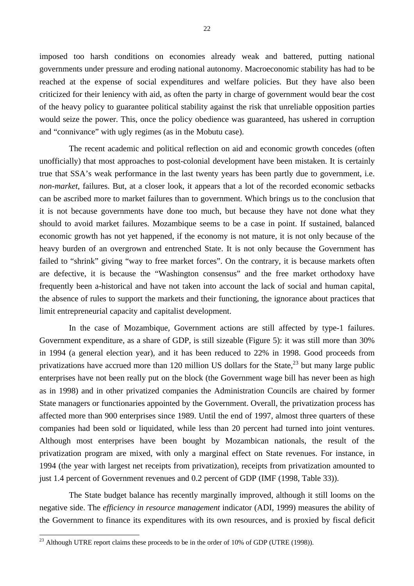imposed too harsh conditions on economies already weak and battered, putting national governments under pressure and eroding national autonomy. Macroeconomic stability has had to be reached at the expense of social expenditures and welfare policies. But they have also been criticized for their leniency with aid, as often the party in charge of government would bear the cost of the heavy policy to guarantee political stability against the risk that unreliable opposition parties would seize the power. This, once the policy obedience was guaranteed, has ushered in corruption and "connivance" with ugly regimes (as in the Mobutu case).

The recent academic and political reflection on aid and economic growth concedes (often unofficially) that most approaches to post-colonial development have been mistaken. It is certainly true that SSA's weak performance in the last twenty years has been partly due to government, i.e. *non-market*, failures. But, at a closer look, it appears that a lot of the recorded economic setbacks can be ascribed more to market failures than to government. Which brings us to the conclusion that it is not because governments have done too much, but because they have not done what they should to avoid market failures. Mozambique seems to be a case in point. If sustained, balanced economic growth has not yet happened, if the economy is not mature, it is not only because of the heavy burden of an overgrown and entrenched State. It is not only because the Government has failed to "shrink" giving "way to free market forces". On the contrary, it is because markets often are defective, it is because the "Washington consensus" and the free market orthodoxy have frequently been a-historical and have not taken into account the lack of social and human capital, the absence of rules to support the markets and their functioning, the ignorance about practices that limit entrepreneurial capacity and capitalist development.

In the case of Mozambique, Government actions are still affected by type-1 failures. Government expenditure, as a share of GDP, is still sizeable (Figure 5): it was still more than 30% in 1994 (a general election year), and it has been reduced to 22% in 1998. Good proceeds from privatizations have accrued more than 120 million US dollars for the State, $^{23}$  but many large public enterprises have not been really put on the block (the Government wage bill has never been as high as in 1998) and in other privatized companies the Administration Councils are chaired by former State managers or functionaries appointed by the Government. Overall, the privatization process has affected more than 900 enterprises since 1989. Until the end of 1997, almost three quarters of these companies had been sold or liquidated, while less than 20 percent had turned into joint ventures. Although most enterprises have been bought by Mozambican nationals, the result of the privatization program are mixed, with only a marginal effect on State revenues. For instance, in 1994 (the year with largest net receipts from privatization), receipts from privatization amounted to just 1.4 percent of Government revenues and 0.2 percent of GDP (IMF (1998, Table 33)).

The State budget balance has recently marginally improved, although it still looms on the negative side. The *efficiency in resource management* indicator (ADI, 1999) measures the ability of the Government to finance its expenditures with its own resources, and is proxied by fiscal deficit

 $^{23}$  Although UTRE report claims these proceeds to be in the order of 10% of GDP (UTRE (1998)).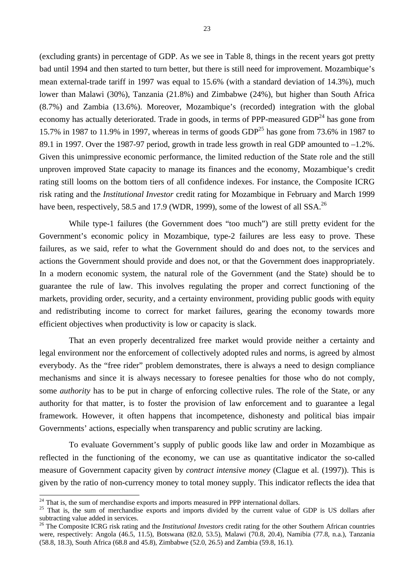(excluding grants) in percentage of GDP. As we see in Table 8, things in the recent years got pretty bad until 1994 and then started to turn better, but there is still need for improvement. Mozambique's mean external-trade tariff in 1997 was equal to 15.6% (with a standard deviation of 14.3%), much lower than Malawi (30%), Tanzania (21.8%) and Zimbabwe (24%), but higher than South Africa (8.7%) and Zambia (13.6%). Moreover, Mozambique's (recorded) integration with the global economy has actually deteriorated. Trade in goods, in terms of PPP-measured  $GDP<sup>24</sup>$  has gone from 15.7% in 1987 to 11.9% in 1997, whereas in terms of goods  $GDP<sup>25</sup>$  has gone from 73.6% in 1987 to 89.1 in 1997. Over the 1987-97 period, growth in trade less growth in real GDP amounted to  $-1.2\%$ . Given this unimpressive economic performance, the limited reduction of the State role and the still unproven improved State capacity to manage its finances and the economy, Mozambique's credit rating still looms on the bottom tiers of all confidence indexes. For instance, the Composite ICRG risk rating and the *Institutional Investor* credit rating for Mozambique in February and March 1999 have been, respectively, 58.5 and 17.9 (WDR, 1999), some of the lowest of all SSA.<sup>26</sup>

While type-1 failures (the Government does "too much") are still pretty evident for the Government's economic policy in Mozambique, type-2 failures are less easy to prove. These failures, as we said, refer to what the Government should do and does not, to the services and actions the Government should provide and does not, or that the Government does inappropriately. In a modern economic system, the natural role of the Government (and the State) should be to guarantee the rule of law. This involves regulating the proper and correct functioning of the markets, providing order, security, and a certainty environment, providing public goods with equity and redistributing income to correct for market failures, gearing the economy towards more efficient objectives when productivity is low or capacity is slack.

That an even properly decentralized free market would provide neither a certainty and legal environment nor the enforcement of collectively adopted rules and norms, is agreed by almost everybody. As the "free rider" problem demonstrates, there is always a need to design compliance mechanisms and since it is always necessary to foresee penalties for those who do not comply, some *authority* has to be put in charge of enforcing collective rules. The role of the State, or any authority for that matter, is to foster the provision of law enforcement and to guarantee a legal framework. However, it often happens that incompetence, dishonesty and political bias impair Governments' actions, especially when transparency and public scrutiny are lacking.

To evaluate Government's supply of public goods like law and order in Mozambique as reflected in the functioning of the economy, we can use as quantitative indicator the so-called measure of Government capacity given by *contract intensive money* (Clague et al. (1997)). This is given by the ratio of non-currency money to total money supply. This indicator reflects the idea that

 $24$  That is, the sum of merchandise exports and imports measured in PPP international dollars.

<sup>&</sup>lt;sup>25</sup> That is, the sum of merchandise exports and imports divided by the current value of GDP is US dollars after subtracting value added in services.

<sup>&</sup>lt;sup>26</sup> The Composite ICRG risk rating and the *Institutional Investors* credit rating for the other Southern African countries were, respectively: Angola (46.5, 11.5), Botswana (82.0, 53.5), Malawi (70.8, 20.4), Namibia (77.8, n.a.), Tanzania (58.8, 18.3), South Africa (68.8 and 45.8), Zimbabwe (52.0, 26.5) and Zambia (59.8, 16.1).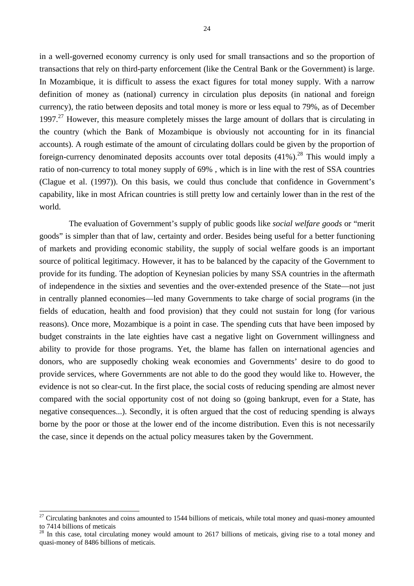in a well-governed economy currency is only used for small transactions and so the proportion of transactions that rely on third-party enforcement (like the Central Bank or the Government) is large. In Mozambique, it is difficult to assess the exact figures for total money supply. With a narrow definition of money as (national) currency in circulation plus deposits (in national and foreign currency), the ratio between deposits and total money is more or less equal to 79%, as of December 1997.<sup>27</sup> However, this measure completely misses the large amount of dollars that is circulating in the country (which the Bank of Mozambique is obviously not accounting for in its financial accounts). A rough estimate of the amount of circulating dollars could be given by the proportion of foreign-currency denominated deposits accounts over total deposits  $(41\%)$ <sup>28</sup>. This would imply a ratio of non-currency to total money supply of 69% , which is in line with the rest of SSA countries (Clague et al. (1997)). On this basis, we could thus conclude that confidence in Government's

capability, like in most African countries is still pretty low and certainly lower than in the rest of the

world.

 $\overline{a}$ 

The evaluation of Government's supply of public goods like *social welfare goods* or "merit goods" is simpler than that of law, certainty and order. Besides being useful for a better functioning of markets and providing economic stability, the supply of social welfare goods is an important source of political legitimacy. However, it has to be balanced by the capacity of the Government to provide for its funding. The adoption of Keynesian policies by many SSA countries in the aftermath of independence in the sixties and seventies and the over-extended presence of the State—not just in centrally planned economies—led many Governments to take charge of social programs (in the fields of education, health and food provision) that they could not sustain for long (for various reasons). Once more, Mozambique is a point in case. The spending cuts that have been imposed by budget constraints in the late eighties have cast a negative light on Government willingness and ability to provide for those programs. Yet, the blame has fallen on international agencies and donors, who are supposedly choking weak economies and Governments' desire to do good to provide services, where Governments are not able to do the good they would like to. However, the evidence is not so clear-cut. In the first place, the social costs of reducing spending are almost never compared with the social opportunity cost of not doing so (going bankrupt, even for a State, has negative consequences...). Secondly, it is often argued that the cost of reducing spending is always borne by the poor or those at the lower end of the income distribution. Even this is not necessarily the case, since it depends on the actual policy measures taken by the Government.

 $27$  Circulating banknotes and coins amounted to 1544 billions of meticais, while total money and quasi-money amounted to 7414 billions of meticais

<sup>&</sup>lt;sup>28</sup> In this case, total circulating money would amount to 2617 billions of meticais, giving rise to a total money and quasi-money of 8486 billions of meticais.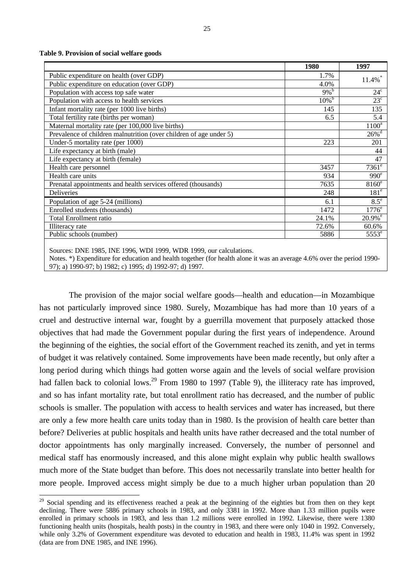**Table 9. Provision of social welfare goods**

 $\overline{a}$ 

|                                                                    | 1980               | 1997                  |
|--------------------------------------------------------------------|--------------------|-----------------------|
| Public expenditure on health (over GDP)                            | 1.7%               | $11.4\%$ <sup>*</sup> |
| Public expenditure on education (over GDP)                         | 4.0%               |                       |
| Population with access top safe water                              | $9\%$ <sup>b</sup> | $24^{\circ}$          |
| Population with access to health services                          | $10\overline{\%}$  | $23^{\circ}$          |
| Infant mortality rate (per 1000 live births)                       | 145                | 135                   |
| Total fertility rate (births per woman)                            | 6.5                | 5.4                   |
| Maternal mortality rate (per 100,000 live births)                  |                    | $1100^a$              |
| Prevalence of children malnutrition (over children of age under 5) |                    | $26\%$ <sup>d</sup>   |
| Under-5 mortality rate (per 1000)                                  | 223                | 201                   |
| Life expectancy at birth (male)                                    |                    | 44                    |
| Life expectancy at birth (female)                                  |                    | 47                    |
| Health care personnel                                              | 3457               | $7361^e$              |
| Health care units                                                  | 934                | 990 <sup>e</sup>      |
| Prenatal appointments and health services offered (thousands)      | 7635               | $8160^\circ$          |
| <b>Deliveries</b>                                                  | 248                | 181 <sup>e</sup>      |
| Population of age 5-24 (millions)                                  | 6.1                | $8.5^{\circ}$         |
| Enrolled students (thousands)                                      | 1472               | $1776^e$              |
| <b>Total Enrollment ratio</b>                                      | 24.1%              | $20.9%$ <sup>e</sup>  |
| Illiteracy rate                                                    | 72.6%              | 60.6%                 |
| Public schools (number)                                            | 5886               | 5553 <sup>e</sup>     |
|                                                                    |                    |                       |

Sources: DNE 1985, INE 1996, WDI 1999, WDR 1999, our calculations.

Notes. \*) Expenditure for education and health together (for health alone it was an average 4.6% over the period 1990- 97); a) 1990-97; b) 1982; c) 1995; d) 1992-97; d) 1997.

The provision of the major social welfare goods—health and education—in Mozambique has not particularly improved since 1980. Surely, Mozambique has had more than 10 years of a cruel and destructive internal war, fought by a guerrilla movement that purposely attacked those objectives that had made the Government popular during the first years of independence. Around the beginning of the eighties, the social effort of the Government reached its zenith, and yet in terms of budget it was relatively contained. Some improvements have been made recently, but only after a long period during which things had gotten worse again and the levels of social welfare provision had fallen back to colonial lows.<sup>29</sup> From 1980 to 1997 (Table 9), the illiteracy rate has improved, and so has infant mortality rate, but total enrollment ratio has decreased, and the number of public schools is smaller. The population with access to health services and water has increased, but there are only a few more health care units today than in 1980. Is the provision of health care better than before? Deliveries at public hospitals and health units have rather decreased and the total number of doctor appointments has only marginally increased. Conversely, the number of personnel and medical staff has enormously increased, and this alone might explain why public health swallows much more of the State budget than before. This does not necessarily translate into better health for more people. Improved access might simply be due to a much higher urban population than 20

<sup>&</sup>lt;sup>29</sup> Social spending and its effectiveness reached a peak at the beginning of the eighties but from then on they kept declining. There were 5886 primary schools in 1983, and only 3381 in 1992. More than 1.33 million pupils were enrolled in primary schools in 1983, and less than 1.2 millions were enrolled in 1992. Likewise, there were 1380 functioning health units (hospitals, health posts) in the country in 1983, and there were only 1040 in 1992. Conversely, while only 3.2% of Government expenditure was devoted to education and health in 1983, 11.4% was spent in 1992 (data are from DNE 1985, and INE 1996).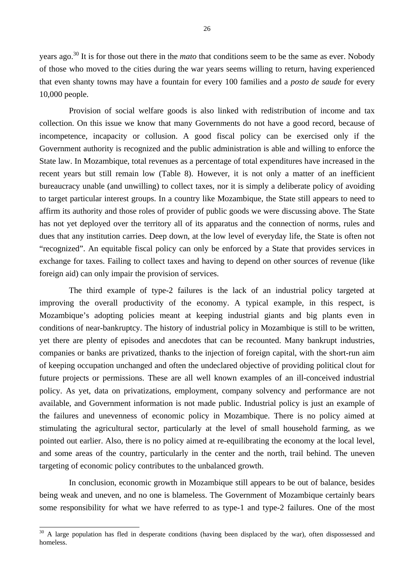years ago.<sup>30</sup> It is for those out there in the *mato* that conditions seem to be the same as ever. Nobody of those who moved to the cities during the war years seems willing to return, having experienced that even shanty towns may have a fountain for every 100 families and a *posto de saude* for every 10,000 people.

Provision of social welfare goods is also linked with redistribution of income and tax collection. On this issue we know that many Governments do not have a good record, because of incompetence, incapacity or collusion. A good fiscal policy can be exercised only if the Government authority is recognized and the public administration is able and willing to enforce the State law. In Mozambique, total revenues as a percentage of total expenditures have increased in the recent years but still remain low (Table 8). However, it is not only a matter of an inefficient bureaucracy unable (and unwilling) to collect taxes, nor it is simply a deliberate policy of avoiding to target particular interest groups. In a country like Mozambique, the State still appears to need to affirm its authority and those roles of provider of public goods we were discussing above. The State has not yet deployed over the territory all of its apparatus and the connection of norms, rules and dues that any institution carries. Deep down, at the low level of everyday life, the State is often not "recognized". An equitable fiscal policy can only be enforced by a State that provides services in exchange for taxes. Failing to collect taxes and having to depend on other sources of revenue (like foreign aid) can only impair the provision of services.

The third example of type-2 failures is the lack of an industrial policy targeted at improving the overall productivity of the economy. A typical example, in this respect, is Mozambique's adopting policies meant at keeping industrial giants and big plants even in conditions of near-bankruptcy. The history of industrial policy in Mozambique is still to be written, yet there are plenty of episodes and anecdotes that can be recounted. Many bankrupt industries, companies or banks are privatized, thanks to the injection of foreign capital, with the short-run aim of keeping occupation unchanged and often the undeclared objective of providing political clout for future projects or permissions. These are all well known examples of an ill-conceived industrial policy. As yet, data on privatizations, employment, company solvency and performance are not available, and Government information is not made public. Industrial policy is just an example of the failures and unevenness of economic policy in Mozambique. There is no policy aimed at stimulating the agricultural sector, particularly at the level of small household farming, as we pointed out earlier. Also, there is no policy aimed at re-equilibrating the economy at the local level, and some areas of the country, particularly in the center and the north, trail behind. The uneven targeting of economic policy contributes to the unbalanced growth.

In conclusion, economic growth in Mozambique still appears to be out of balance, besides being weak and uneven, and no one is blameless. The Government of Mozambique certainly bears some responsibility for what we have referred to as type-1 and type-2 failures. One of the most

 $30$  A large population has fled in desperate conditions (having been displaced by the war), often dispossessed and homeless.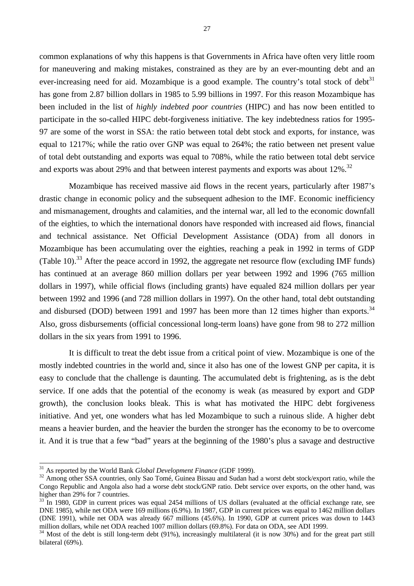common explanations of why this happens is that Governments in Africa have often very little room for maneuvering and making mistakes, constrained as they are by an ever-mounting debt and an ever-increasing need for aid. Mozambique is a good example. The country's total stock of debt<sup>31</sup> has gone from 2.87 billion dollars in 1985 to 5.99 billions in 1997. For this reason Mozambique has been included in the list of *highly indebted poor countries* (HIPC) and has now been entitled to participate in the so-called HIPC debt-forgiveness initiative. The key indebtedness ratios for 1995- 97 are some of the worst in SSA: the ratio between total debt stock and exports, for instance, was equal to 1217%; while the ratio over GNP was equal to 264%; the ratio between net present value of total debt outstanding and exports was equal to 708%, while the ratio between total debt service and exports was about 29% and that between interest payments and exports was about 12%.<sup>32</sup>

Mozambique has received massive aid flows in the recent years, particularly after 1987's drastic change in economic policy and the subsequent adhesion to the IMF. Economic inefficiency and mismanagement, droughts and calamities, and the internal war, all led to the economic downfall of the eighties, to which the international donors have responded with increased aid flows, financial and technical assistance. Net Official Development Assistance (ODA) from all donors in Mozambique has been accumulating over the eighties, reaching a peak in 1992 in terms of GDP (Table 10).<sup>33</sup> After the peace accord in 1992, the aggregate net resource flow (excluding IMF funds) has continued at an average 860 million dollars per year between 1992 and 1996 (765 million dollars in 1997), while official flows (including grants) have equaled 824 million dollars per year between 1992 and 1996 (and 728 million dollars in 1997). On the other hand, total debt outstanding and disbursed (DOD) between 1991 and 1997 has been more than 12 times higher than exports.<sup>34</sup> Also, gross disbursements (official concessional long-term loans) have gone from 98 to 272 million dollars in the six years from 1991 to 1996.

It is difficult to treat the debt issue from a critical point of view. Mozambique is one of the mostly indebted countries in the world and, since it also has one of the lowest GNP per capita, it is easy to conclude that the challenge is daunting. The accumulated debt is frightening, as is the debt service. If one adds that the potential of the economy is weak (as measured by export and GDP growth), the conclusion looks bleak. This is what has motivated the HIPC debt forgiveness initiative. And yet, one wonders what has led Mozambique to such a ruinous slide. A higher debt means a heavier burden, and the heavier the burden the stronger has the economy to be to overcome it. And it is true that a few "bad" years at the beginning of the 1980's plus a savage and destructive

<sup>31</sup> As reported by the World Bank *Global Development Finance* (GDF 1999).

<sup>&</sup>lt;sup>32</sup> Among other SSA countries, only Sao Tomé, Guinea Bissau and Sudan had a worst debt stock/export ratio, while the Congo Republic and Angola also had a worse debt stock/GNP ratio. Debt service over exports, on the other hand, was higher than 29% for 7 countries.

 $33$  In 1980, GDP in current prices was equal 2454 millions of US dollars (evaluated at the official exchange rate, see DNE 1985), while net ODA were 169 millions (6.9%). In 1987, GDP in current prices was equal to 1462 million dollars (DNE 1991), while net ODA was already 667 millions (45.6%). In 1990, GDP at current prices was down to 1443 million dollars, while net ODA reached 1007 million dollars (69.8%). For data on ODA, see ADI 1999.

 $34$  Most of the debt is still long-term debt (91%), increasingly multilateral (it is now 30%) and for the great part still bilateral (69%).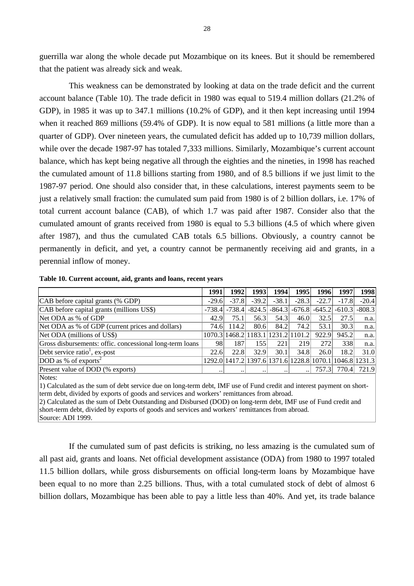guerrilla war along the whole decade put Mozambique on its knees. But it should be remembered that the patient was already sick and weak.

This weakness can be demonstrated by looking at data on the trade deficit and the current account balance (Table 10). The trade deficit in 1980 was equal to 519.4 million dollars (21.2% of GDP), in 1985 it was up to 347.1 millions (10.2% of GDP), and it then kept increasing until 1994 when it reached 869 millions (59.4% of GDP). It is now equal to 581 millions (a little more than a quarter of GDP). Over nineteen years, the cumulated deficit has added up to 10,739 million dollars, while over the decade 1987-97 has totaled 7,333 millions. Similarly, Mozambique's current account balance, which has kept being negative all through the eighties and the nineties, in 1998 has reached the cumulated amount of 11.8 billions starting from 1980, and of 8.5 billions if we just limit to the 1987-97 period. One should also consider that, in these calculations, interest payments seem to be just a relatively small fraction: the cumulated sum paid from 1980 is of 2 billion dollars, i.e. 17% of total current account balance (CAB), of which 1.7 was paid after 1987. Consider also that the cumulated amount of grants received from 1980 is equal to 5.3 billions (4.5 of which where given after 1987), and thus the cumulated CAB totals 6.5 billions. Obviously, a country cannot be permanently in deficit, and yet, a country cannot be permanently receiving aid and grants, in a perennial inflow of money.

|  | Table 10. Current account, aid, grants and loans, recent years |
|--|----------------------------------------------------------------|
|--|----------------------------------------------------------------|

|                                                          | 1991      | 1992                                                    | 1993                 | 1994    | 1995    | 1996    | 1997                                                  | 1998    |
|----------------------------------------------------------|-----------|---------------------------------------------------------|----------------------|---------|---------|---------|-------------------------------------------------------|---------|
| CAB before capital grants (% GDP)                        | $-29.6$   | $-37.8$                                                 | $-39.2$              | $-38.1$ | $-28.3$ | $-22.7$ | $-17.8$                                               | $-20.4$ |
| CAB before capital grants (millions US\$)                |           | $-738.4$ $-738.4$                                       |                      |         |         |         | $-824.5$ $-864.3$ $-676.8$ $-645.2$ $-610.3$ $-808.3$ |         |
| Net ODA as % of GDP                                      | 42.9      | 75.1                                                    | 56.3                 | 54.3    | 46.0    | 32.5    | 27.5                                                  | n.a.    |
| Net ODA as % of GDP (current prices and dollars)         | 74.6      | 114.2                                                   | 80.6                 | 84.2    | 74.2    | 53.1    | 30.3                                                  | n.a.    |
| Net ODA (millions of US\$)                               |           | 1070.3 1468.2 1183.1 1231.2 1101.2                      |                      |         |         | 922.9   | 945.2                                                 | n.a.    |
| Gross disbursements: offic. concessional long-term loans | 981       | 187                                                     | 155                  | 221     | 219     | 272     | 338                                                   | n.a.    |
| Debt service ratio <sup>1</sup> , ex-post                | 22.6      | 22.8                                                    | 32.9                 | 30.1    | 34.8    | 26.0    | 18.2                                                  | 31.0    |
| DOD as % of exports <sup>2</sup>                         |           | 1292.0 1417.2 1397.6 1371.6 1228.8 1070.1 1046.8 1231.3 |                      |         |         |         |                                                       |         |
| Present value of DOD (% exports)                         | $\ddotsc$ | $\ddot{\phantom{0}}$                                    | $\ddot{\phantom{0}}$ |         |         | 757.3   | 770.4                                                 | 721.9   |

Notes:

1) Calculated as the sum of debt service due on long-term debt, IMF use of Fund credit and interest payment on shortterm debt, divided by exports of goods and services and workers' remittances from abroad.

2) Calculated as the sum of Debt Outstanding and Disbursed (DOD) on long-term debt, IMF use of Fund credit and short-term debt, divided by exports of goods and services and workers' remittances from abroad. Source: ADI 1999.

If the cumulated sum of past deficits is striking, no less amazing is the cumulated sum of all past aid, grants and loans. Net official development assistance (ODA) from 1980 to 1997 totaled 11.5 billion dollars, while gross disbursements on official long-term loans by Mozambique have been equal to no more than 2.25 billions. Thus, with a total cumulated stock of debt of almost 6 billion dollars, Mozambique has been able to pay a little less than 40%. And yet, its trade balance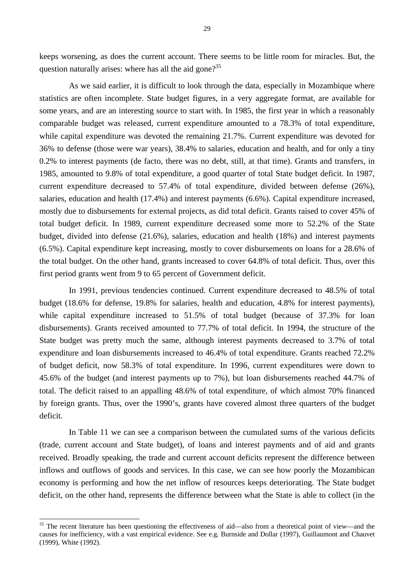keeps worsening, as does the current account. There seems to be little room for miracles. But, the question naturally arises: where has all the aid gone?<sup>35</sup>

As we said earlier, it is difficult to look through the data, especially in Mozambique where statistics are often incomplete. State budget figures, in a very aggregate format, are available for some years, and are an interesting source to start with. In 1985, the first year in which a reasonably comparable budget was released, current expenditure amounted to a 78.3% of total expenditure, while capital expenditure was devoted the remaining 21.7%. Current expenditure was devoted for 36% to defense (those were war years), 38.4% to salaries, education and health, and for only a tiny 0.2% to interest payments (de facto, there was no debt, still, at that time). Grants and transfers, in 1985, amounted to 9.8% of total expenditure, a good quarter of total State budget deficit. In 1987, current expenditure decreased to 57.4% of total expenditure, divided between defense (26%), salaries, education and health (17.4%) and interest payments (6.6%). Capital expenditure increased, mostly due to disbursements for external projects, as did total deficit. Grants raised to cover 45% of total budget deficit. In 1989, current expenditure decreased some more to 52.2% of the State budget, divided into defense (21.6%), salaries, education and health (18%) and interest payments (6.5%). Capital expenditure kept increasing, mostly to cover disbursements on loans for a 28.6% of the total budget. On the other hand, grants increased to cover 64.8% of total deficit. Thus, over this first period grants went from 9 to 65 percent of Government deficit.

In 1991, previous tendencies continued. Current expenditure decreased to 48.5% of total budget (18.6% for defense, 19.8% for salaries, health and education, 4.8% for interest payments), while capital expenditure increased to 51.5% of total budget (because of 37.3% for loan disbursements). Grants received amounted to 77.7% of total deficit. In 1994, the structure of the State budget was pretty much the same, although interest payments decreased to 3.7% of total expenditure and loan disbursements increased to 46.4% of total expenditure. Grants reached 72.2% of budget deficit, now 58.3% of total expenditure. In 1996, current expenditures were down to 45.6% of the budget (and interest payments up to 7%), but loan disbursements reached 44.7% of total. The deficit raised to an appalling 48.6% of total expenditure, of which almost 70% financed by foreign grants. Thus, over the 1990's, grants have covered almost three quarters of the budget deficit.

In Table 11 we can see a comparison between the cumulated sums of the various deficits (trade, current account and State budget), of loans and interest payments and of aid and grants received. Broadly speaking, the trade and current account deficits represent the difference between inflows and outflows of goods and services. In this case, we can see how poorly the Mozambican economy is performing and how the net inflow of resources keeps deteriorating. The State budget deficit, on the other hand, represents the difference between what the State is able to collect (in the

<sup>&</sup>lt;sup>35</sup> The recent literature has been questioning the effectiveness of aid—also from a theoretical point of view—and the causes for inefficiency, with a vast empirical evidence. See e.g. Burnside and Dollar (1997), Guillaumont and Chauvet (1999), White (1992).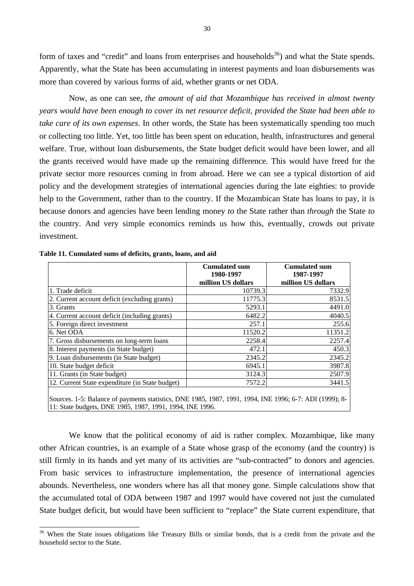form of taxes and "credit" and loans from enterprises and households<sup>36</sup>) and what the State spends. Apparently, what the State has been accumulating in interest payments and loan disbursements was more than covered by various forms of aid, whether grants or net ODA.

Now, as one can see, *the amount of aid that Mozambique has received in almost twenty years would have been enough to cover its net resource deficit, provided the State had been able to take care of its own expenses*. In other words, the State has been systematically spending too much or collecting too little. Yet, too little has been spent on education, health, infrastructures and general welfare. True, without loan disbursements, the State budget deficit would have been lower, and all the grants received would have made up the remaining difference. This would have freed for the private sector more resources coming in from abroad. Here we can see a typical distortion of aid policy and the development strategies of international agencies during the late eighties: to provide help to the Government, rather than to the country. If the Mozambican State has loans to pay, it is because donors and agencies have been lending money *to* the State rather than *through* the State *to* the country. And very simple economics reminds us how this, eventually, crowds out private investment.

|                                                                                                                                                                     | <b>Cumulated sum</b><br>1980-1997 | <b>Cumulated sum</b><br>1987-1997 |
|---------------------------------------------------------------------------------------------------------------------------------------------------------------------|-----------------------------------|-----------------------------------|
|                                                                                                                                                                     | million US dollars                | million US dollars                |
| 1. Trade deficit                                                                                                                                                    | 10739.3                           | 7332.9                            |
| 2. Current account deficit (excluding grants)                                                                                                                       | 11775.3                           | 8531.5                            |
| 3. Grants                                                                                                                                                           | 5293.1                            | 4491.0                            |
| 4. Current account deficit (including grants)                                                                                                                       | 6482.2                            | 4040.5                            |
| 5. Foreign direct investment                                                                                                                                        | 257.1                             | 255.6                             |
| 6. Net ODA                                                                                                                                                          | 11520.2                           | 11351.2                           |
| 7. Gross disbursements on long-term loans                                                                                                                           | 2258.4                            | 2257.4                            |
| 8. Interest payments (in State budget)                                                                                                                              | 472.1                             | 450.3                             |
| 9. Loan disbursements (in State budget)                                                                                                                             | 2345.2                            | 2345.2                            |
| 10. State budget deficit                                                                                                                                            | 6945.1                            | 3987.8                            |
| 11. Grants (in State budget)                                                                                                                                        | 3124.3                            | 2507.9                            |
| 12. Current State expenditure (in State budget)                                                                                                                     | 7572.2l                           | 3441.5                            |
| Sources. 1-5: Balance of payments statistics, DNE 1985, 1987, 1991, 1994, INE 1996; 6-7: ADI (1999); 8-<br>11: State budgets, DNE 1985, 1987, 1991, 1994, INE 1996. |                                   |                                   |

**Table 11. Cumulated sums of deficits, grants, loans, and aid**

 $\overline{a}$ 

We know that the political economy of aid is rather complex. Mozambique, like many other African countries, is an example of a State whose grasp of the economy (and the country) is still firmly in its hands and yet many of its activities are "sub-contracted" to donors and agencies. From basic services to infrastructure implementation, the presence of international agencies abounds. Nevertheless, one wonders where has all that money gone. Simple calculations show that the accumulated total of ODA between 1987 and 1997 would have covered not just the cumulated State budget deficit, but would have been sufficient to "replace" the State current expenditure, that

<sup>&</sup>lt;sup>36</sup> When the State issues obligations like Treasury Bills or similar bonds, that is a credit from the private and the household sector to the State.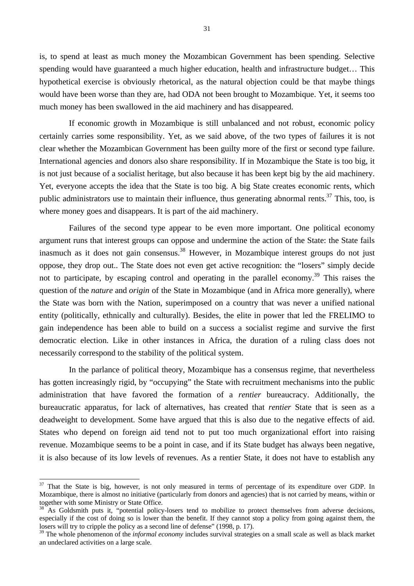is, to spend at least as much money the Mozambican Government has been spending. Selective spending would have guaranteed a much higher education, health and infrastructure budget… This hypothetical exercise is obviously rhetorical, as the natural objection could be that maybe things would have been worse than they are, had ODA not been brought to Mozambique. Yet, it seems too much money has been swallowed in the aid machinery and has disappeared.

If economic growth in Mozambique is still unbalanced and not robust, economic policy certainly carries some responsibility. Yet, as we said above, of the two types of failures it is not clear whether the Mozambican Government has been guilty more of the first or second type failure. International agencies and donors also share responsibility. If in Mozambique the State is too big, it is not just because of a socialist heritage, but also because it has been kept big by the aid machinery. Yet, everyone accepts the idea that the State is too big. A big State creates economic rents, which public administrators use to maintain their influence, thus generating abnormal rents. $37$  This, too, is where money goes and disappears. It is part of the aid machinery.

Failures of the second type appear to be even more important. One political economy argument runs that interest groups can oppose and undermine the action of the State: the State fails inasmuch as it does not gain consensus.<sup>38</sup> However, in Mozambique interest groups do not just oppose, they drop out.. The State does not even get active recognition: the "losers" simply decide not to participate, by escaping control and operating in the parallel economy.<sup>39</sup> This raises the question of the *nature* and *origin* of the State in Mozambique (and in Africa more generally), where the State was born with the Nation, superimposed on a country that was never a unified national entity (politically, ethnically and culturally). Besides, the elite in power that led the FRELIMO to gain independence has been able to build on a success a socialist regime and survive the first democratic election. Like in other instances in Africa, the duration of a ruling class does not necessarily correspond to the stability of the political system.

In the parlance of political theory, Mozambique has a consensus regime, that nevertheless has gotten increasingly rigid, by "occupying" the State with recruitment mechanisms into the public administration that have favored the formation of a *rentier* bureaucracy. Additionally, the bureaucratic apparatus, for lack of alternatives, has created that *rentier* State that is seen as a deadweight to development. Some have argued that this is also due to the negative effects of aid. States who depend on foreign aid tend not to put too much organizational effort into raising revenue. Mozambique seems to be a point in case, and if its State budget has always been negative, it is also because of its low levels of revenues. As a rentier State, it does not have to establish any

<sup>&</sup>lt;sup>37</sup> That the State is big, however, is not only measured in terms of percentage of its expenditure over GDP. In Mozambique, there is almost no initiative (particularly from donors and agencies) that is not carried by means, within or together with some Ministry or State Office.

As Goldsmith puts it, "potential policy-losers tend to mobilize to protect themselves from adverse decisions, especially if the cost of doing so is lower than the benefit. If they cannot stop a policy from going against them, the losers will try to cripple the policy as a second line of defense" (1998, p. 17).

<sup>&</sup>lt;sup>39</sup> The whole phenomenon of the *informal economy* includes survival strategies on a small scale as well as black market an undeclared activities on a large scale.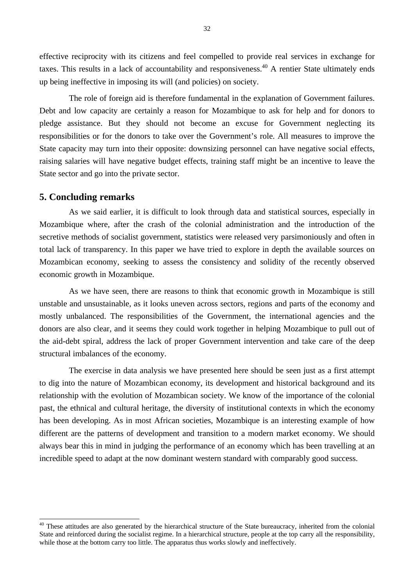effective reciprocity with its citizens and feel compelled to provide real services in exchange for taxes. This results in a lack of accountability and responsiveness.<sup>40</sup> A rentier State ultimately ends up being ineffective in imposing its will (and policies) on society.

The role of foreign aid is therefore fundamental in the explanation of Government failures. Debt and low capacity are certainly a reason for Mozambique to ask for help and for donors to pledge assistance. But they should not become an excuse for Government neglecting its responsibilities or for the donors to take over the Government's role. All measures to improve the State capacity may turn into their opposite: downsizing personnel can have negative social effects, raising salaries will have negative budget effects, training staff might be an incentive to leave the State sector and go into the private sector.

#### **5. Concluding remarks**

 $\overline{a}$ 

As we said earlier, it is difficult to look through data and statistical sources, especially in Mozambique where, after the crash of the colonial administration and the introduction of the secretive methods of socialist government, statistics were released very parsimoniously and often in total lack of transparency. In this paper we have tried to explore in depth the available sources on Mozambican economy, seeking to assess the consistency and solidity of the recently observed economic growth in Mozambique.

As we have seen, there are reasons to think that economic growth in Mozambique is still unstable and unsustainable, as it looks uneven across sectors, regions and parts of the economy and mostly unbalanced. The responsibilities of the Government, the international agencies and the donors are also clear, and it seems they could work together in helping Mozambique to pull out of the aid-debt spiral, address the lack of proper Government intervention and take care of the deep structural imbalances of the economy.

The exercise in data analysis we have presented here should be seen just as a first attempt to dig into the nature of Mozambican economy, its development and historical background and its relationship with the evolution of Mozambican society. We know of the importance of the colonial past, the ethnical and cultural heritage, the diversity of institutional contexts in which the economy has been developing. As in most African societies, Mozambique is an interesting example of how different are the patterns of development and transition to a modern market economy. We should always bear this in mind in judging the performance of an economy which has been travelling at an incredible speed to adapt at the now dominant western standard with comparably good success.

<sup>&</sup>lt;sup>40</sup> These attitudes are also generated by the hierarchical structure of the State bureaucracy, inherited from the colonial State and reinforced during the socialist regime. In a hierarchical structure, people at the top carry all the responsibility, while those at the bottom carry too little. The apparatus thus works slowly and ineffectively.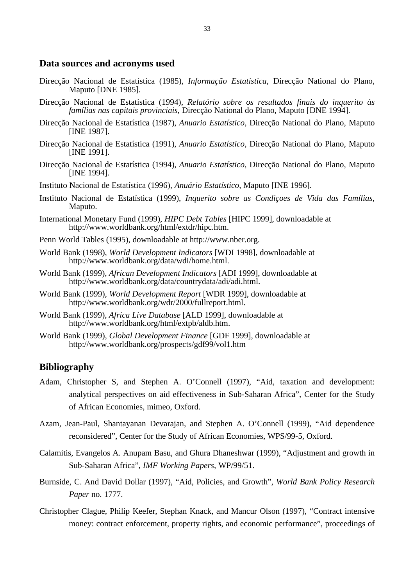#### **Data sources and acronyms used**

- Direcção Nacional de Estatística (1985), *Informação Estatística*, Direcção National do Plano, Maputo [DNE 1985].
- Direcção Nacional de Estatística (1994), *Relatório sobre os resultados finais do inquerito às famílias nas capitais provinciais*, Direcção National do Plano, Maputo [DNE 1994].
- Direcção Nacional de Estatística (1987), *Anuario Estatístico*, Direcção National do Plano, Maputo [INE 1987].
- Direcção Nacional de Estatística (1991), *Anuario Estatístico*, Direcção National do Plano, Maputo [INE 1991].
- Direcção Nacional de Estatística (1994), *Anuario Estatístico*, Direcção National do Plano, Maputo [INE 1994].
- Instituto Nacional de Estatística (1996), *Anuário Estatístico*, Maputo [INE 1996].
- Instituto Nacional de Estatística (1999), *Inquerito sobre as Condiçoes de Vida das Famílias*, Maputo.
- International Monetary Fund (1999), *HIPC Debt Tables* [HIPC 1999], downloadable at http://www.worldbank.org/html/extdr/hipc.htm.
- Penn World Tables (1995), downloadable at http://www.nber.org.
- World Bank (1998), *World Development Indicators* [WDI 1998], downloadable at http://www.worldbank.org/data/wdi/home.html.
- World Bank (1999), *African Development Indicators* [ADI 1999], downloadable at http://www.worldbank.org/data/countrydata/adi/adi.html.
- World Bank (1999), *World Development Report* [WDR 1999], downloadable at http://www.worldbank.org/wdr/2000/fullreport.html.
- World Bank (1999), *Africa Live Database* [ALD 1999], downloadable at http://www.worldbank.org/html/extpb/aldb.htm.
- World Bank (1999), *Global Development Finance* [GDF 1999], downloadable at http://www.worldbank.org/prospects/gdf99/vol1.htm

### **Bibliography**

- Adam, Christopher S, and Stephen A. O'Connell (1997), "Aid, taxation and development: analytical perspectives on aid effectiveness in Sub-Saharan Africa", Center for the Study of African Economies, mimeo, Oxford.
- Azam, Jean-Paul, Shantayanan Devarajan, and Stephen A. O'Connell (1999), "Aid dependence reconsidered", Center for the Study of African Economies, WPS/99-5, Oxford.
- Calamitis, Evangelos A. Anupam Basu, and Ghura Dhaneshwar (1999), "Adjustment and growth in Sub-Saharan Africa", *IMF Working Papers*, WP/99/51.
- Burnside, C. And David Dollar (1997), "Aid, Policies, and Growth", *World Bank Policy Research Paper* no. 1777.
- Christopher Clague, Philip Keefer, Stephan Knack, and Mancur Olson (1997), "Contract intensive money: contract enforcement, property rights, and economic performance", proceedings of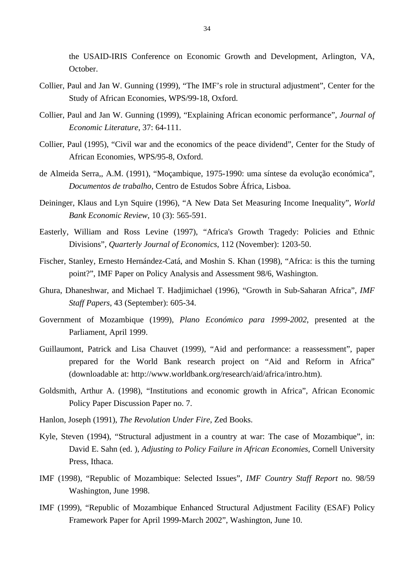the USAID-IRIS Conference on Economic Growth and Development, Arlington, VA, October.

- Collier, Paul and Jan W. Gunning (1999), "The IMF's role in structural adjustment", Center for the Study of African Economies, WPS/99-18, Oxford.
- Collier, Paul and Jan W. Gunning (1999), "Explaining African economic performance", *Journal of Economic Literature*, 37: 64-111.
- Collier, Paul (1995), "Civil war and the economics of the peace dividend", Center for the Study of African Economies, WPS/95-8, Oxford.
- de Almeida Serra,, A.M. (1991), "Moçambique, 1975-1990: uma síntese da evolução económica", *Documentos de trabalho*, Centro de Estudos Sobre África, Lisboa.
- Deininger, Klaus and Lyn Squire (1996), "A New Data Set Measuring Income Inequality", *World Bank Economic Review*, 10 (3): 565-591.
- Easterly, William and Ross Levine (1997), "Africa's Growth Tragedy: Policies and Ethnic Divisions", *Quarterly Journal of Economics*, 112 (November): 1203-50.
- Fischer, Stanley, Ernesto Hernández-Catá, and Moshin S. Khan (1998), "Africa: is this the turning point?", IMF Paper on Policy Analysis and Assessment 98/6, Washington.
- Ghura, Dhaneshwar, and Michael T. Hadjimichael (1996), "Growth in Sub-Saharan Africa", *IMF Staff Papers*, 43 (September): 605-34.
- Government of Mozambique (1999), *Plano Económico para 1999-2002*, presented at the Parliament, April 1999.
- Guillaumont, Patrick and Lisa Chauvet (1999), "Aid and performance: a reassessment", paper prepared for the World Bank research project on "Aid and Reform in Africa" (downloadable at: http://www.worldbank.org/research/aid/africa/intro.htm).
- Goldsmith, Arthur A. (1998), "Institutions and economic growth in Africa", African Economic Policy Paper Discussion Paper no. 7.
- Hanlon, Joseph (1991), *The Revolution Under Fire*, Zed Books.
- Kyle, Steven (1994), "Structural adjustment in a country at war: The case of Mozambique", in: David E. Sahn (ed. ), *Adjusting to Policy Failure in African Economies*, Cornell University Press, Ithaca.
- IMF (1998), "Republic of Mozambique: Selected Issues", *IMF Country Staff Report* no. 98/59 Washington, June 1998.
- IMF (1999), "Republic of Mozambique Enhanced Structural Adjustment Facility (ESAF) Policy Framework Paper for April 1999-March 2002", Washington, June 10.